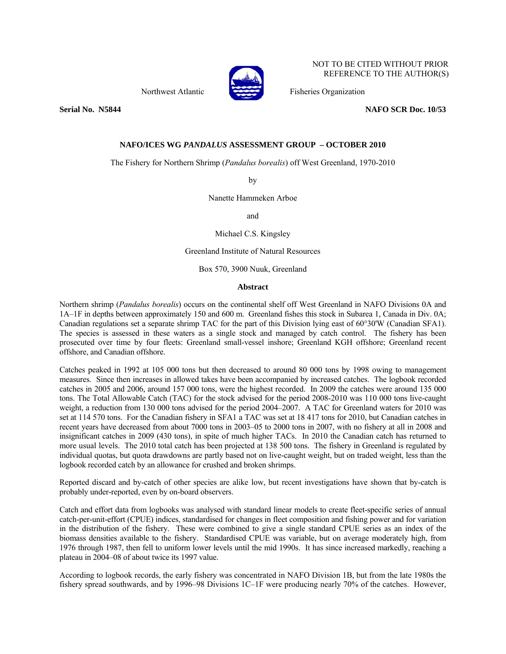

NOT TO BE CITED WITHOUT PRIOR REFERENCE TO THE AUTHOR(S)

Northwest Atlantic Fisheries Organization

**Serial No. 35844** No. 25844 2012 12:33 **NAFO SCR Doc. 10/53** 

# **NAFO/ICES WG** *PANDALUS* **ASSESSMENT GROUP – OCTOBER 2010**

The Fishery for Northern Shrimp (*Pandalus borealis*) off West Greenland, 1970-2010

by

Nanette Hammeken Arboe

and

Michael C.S. Kingsley

Greenland Institute of Natural Resources

Box 570, 3900 Nuuk, Greenland

## **Abstract**

Northern shrimp (*Pandalus borealis*) occurs on the continental shelf off West Greenland in NAFO Divisions 0A and 1A–1F in depths between approximately 150 and 600 m. Greenland fishes this stock in Subarea 1, Canada in Div. 0A; Canadian regulations set a separate shrimp TAC for the part of this Division lying east of 60°30'W (Canadian SFA1). The species is assessed in these waters as a single stock and managed by catch control. The fishery has been prosecuted over time by four fleets: Greenland small-vessel inshore; Greenland KGH offshore; Greenland recent offshore, and Canadian offshore.

Catches peaked in 1992 at 105 000 tons but then decreased to around 80 000 tons by 1998 owing to management measures. Since then increases in allowed takes have been accompanied by increased catches. The logbook recorded catches in 2005 and 2006, around 157 000 tons, were the highest recorded. In 2009 the catches were around 135 000 tons. The Total Allowable Catch (TAC) for the stock advised for the period 2008-2010 was 110 000 tons live-caught weight, a reduction from 130 000 tons advised for the period 2004–2007. A TAC for Greenland waters for 2010 was set at 114 570 tons. For the Canadian fishery in SFA1 a TAC was set at 18 417 tons for 2010, but Canadian catches in recent years have decreased from about 7000 tons in 2003–05 to 2000 tons in 2007, with no fishery at all in 2008 and insignificant catches in 2009 (430 tons), in spite of much higher TACs. In 2010 the Canadian catch has returned to more usual levels. The 2010 total catch has been projected at 138 500 tons. The fishery in Greenland is regulated by individual quotas, but quota drawdowns are partly based not on live-caught weight, but on traded weight, less than the logbook recorded catch by an allowance for crushed and broken shrimps.

Reported discard and by-catch of other species are alike low, but recent investigations have shown that by-catch is probably under-reported, even by on-board observers.

Catch and effort data from logbooks was analysed with standard linear models to create fleet-specific series of annual catch-per-unit-effort (CPUE) indices, standardised for changes in fleet composition and fishing power and for variation in the distribution of the fishery. These were combined to give a single standard CPUE series as an index of the biomass densities available to the fishery. Standardised CPUE was variable, but on average moderately high, from 1976 through 1987, then fell to uniform lower levels until the mid 1990s. It has since increased markedly, reaching a plateau in 2004–08 of about twice its 1997 value.

According to logbook records, the early fishery was concentrated in NAFO Division 1B, but from the late 1980s the fishery spread southwards, and by 1996–98 Divisions 1C–1F were producing nearly 70% of the catches. However,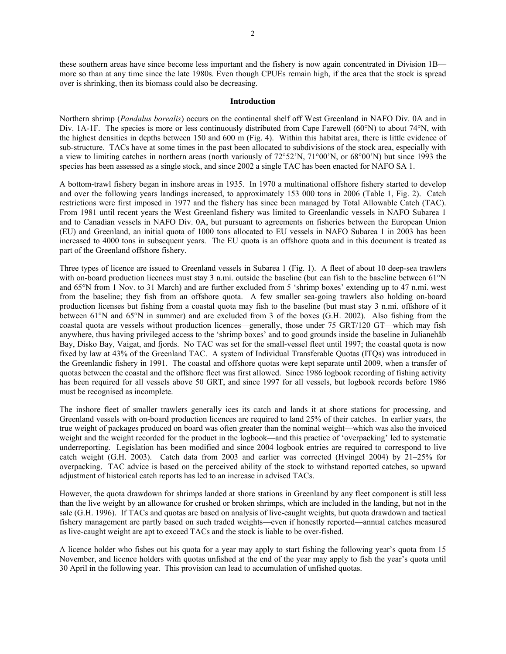these southern areas have since become less important and the fishery is now again concentrated in Division 1B more so than at any time since the late 1980s. Even though CPUEs remain high, if the area that the stock is spread over is shrinking, then its biomass could also be decreasing.

### **Introduction**

Northern shrimp (*Pandalus borealis*) occurs on the continental shelf off West Greenland in NAFO Div. 0A and in Div. 1A-1F. The species is more or less continuously distributed from Cape Farewell (60°N) to about 74°N, with the highest densities in depths between 150 and 600 m (Fig. 4). Within this habitat area, there is little evidence of sub-structure. TACs have at some times in the past been allocated to subdivisions of the stock area, especially with a view to limiting catches in northern areas (north variously of 72°52'N, 71°00'N, or 68°00'N) but since 1993 the species has been assessed as a single stock, and since 2002 a single TAC has been enacted for NAFO SA 1.

A bottom-trawl fishery began in inshore areas in 1935. In 1970 a multinational offshore fishery started to develop and over the following years landings increased, to approximately 153 000 tons in 2006 (Table 1, Fig. 2). Catch restrictions were first imposed in 1977 and the fishery has since been managed by Total Allowable Catch (TAC). From 1981 until recent years the West Greenland fishery was limited to Greenlandic vessels in NAFO Subarea 1 and to Canadian vessels in NAFO Div. 0A, but pursuant to agreements on fisheries between the European Union (EU) and Greenland, an initial quota of 1000 tons allocated to EU vessels in NAFO Subarea 1 in 2003 has been increased to 4000 tons in subsequent years. The EU quota is an offshore quota and in this document is treated as part of the Greenland offshore fishery.

Three types of licence are issued to Greenland vessels in Subarea 1 (Fig. 1). A fleet of about 10 deep-sea trawlers with on-board production licences must stay 3 n.mi. outside the baseline (but can fish to the baseline between 61°N and 65°N from 1 Nov. to 31 March) and are further excluded from 5 'shrimp boxes' extending up to 47 n.mi. west from the baseline; they fish from an offshore quota. A few smaller sea-going trawlers also holding on-board production licenses but fishing from a coastal quota may fish to the baseline (but must stay 3 n.mi. offshore of it between 61°N and 65°N in summer) and are excluded from 3 of the boxes (G.H. 2002). Also fishing from the coastal quota are vessels without production licences—generally, those under 75 GRT/120 GT—which may fish anywhere, thus having privileged access to the 'shrimp boxes' and to good grounds inside the baseline in Julianehåb Bay, Disko Bay, Vaigat, and fjords. No TAC was set for the small-vessel fleet until 1997; the coastal quota is now fixed by law at 43% of the Greenland TAC. A system of Individual Transferable Quotas (ITQs) was introduced in the Greenlandic fishery in 1991. The coastal and offshore quotas were kept separate until 2009, when a transfer of quotas between the coastal and the offshore fleet was first allowed. Since 1986 logbook recording of fishing activity has been required for all vessels above 50 GRT, and since 1997 for all vessels, but logbook records before 1986 must be recognised as incomplete.

The inshore fleet of smaller trawlers generally ices its catch and lands it at shore stations for processing, and Greenland vessels with on-board production licences are required to land 25% of their catches. In earlier years, the true weight of packages produced on board was often greater than the nominal weight—which was also the invoiced weight and the weight recorded for the product in the logbook—and this practice of 'overpacking' led to systematic underreporting. Legislation has been modified and since 2004 logbook entries are required to correspond to live catch weight (G.H. 2003). Catch data from 2003 and earlier was corrected (Hvingel 2004) by 21–25% for overpacking. TAC advice is based on the perceived ability of the stock to withstand reported catches, so upward adjustment of historical catch reports has led to an increase in advised TACs.

However, the quota drawdown for shrimps landed at shore stations in Greenland by any fleet component is still less than the live weight by an allowance for crushed or broken shrimps, which are included in the landing, but not in the sale (G.H. 1996). If TACs and quotas are based on analysis of live-caught weights, but quota drawdown and tactical fishery management are partly based on such traded weights—even if honestly reported—annual catches measured as live-caught weight are apt to exceed TACs and the stock is liable to be over-fished.

A licence holder who fishes out his quota for a year may apply to start fishing the following year's quota from 15 November, and licence holders with quotas unfished at the end of the year may apply to fish the year's quota until 30 April in the following year. This provision can lead to accumulation of unfished quotas.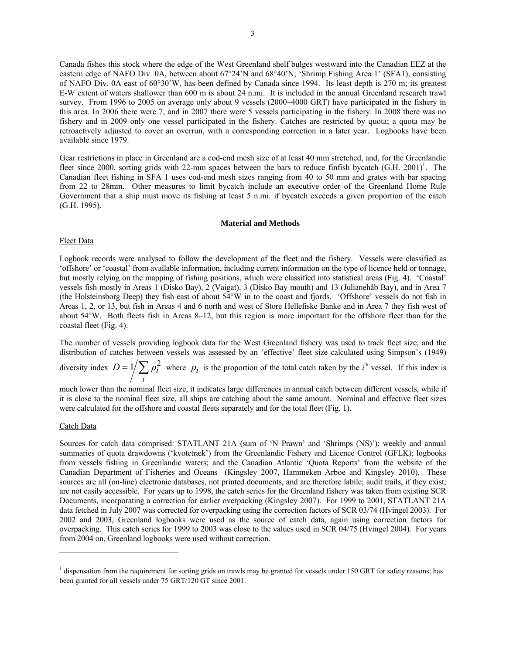Canada fishes this stock where the edge of the West Greenland shelf bulges westward into the Canadian EEZ at the eastern edge of NAFO Div. 0A, between about 67°24'N and 68°40'N; 'Shrimp Fishing Area 1' (SFA1), consisting of NAFO Div. 0A east of 60°30'W, has been defined by Canada since 1994. Its least depth is 270 m; its greatest E-W extent of waters shallower than 600 m is about 24 n.mi. It is included in the annual Greenland research trawl survey. From 1996 to 2005 on average only about 9 vessels (2000–4000 GRT) have participated in the fishery in this area. In 2006 there were 7, and in 2007 there were 5 vessels participating in the fishery. In 2008 there was no fishery and in 2009 only one vessel participated in the fishery. Catches are restricted by quota; a quota may be retroactively adjusted to cover an overrun, with a corresponding correction in a later year. Logbooks have been available since 1979.

Gear restrictions in place in Greenland are a cod-end mesh size of at least 40 mm stretched, and, for the Greenlandic fleet since 2000, sorting grids with 22-mm spaces between the bars to reduce finfish bycatch  $(G.H. 2001)^1$ . The Canadian fleet fishing in SFA 1 uses cod-end mesh sizes ranging from 40 to 50 mm and grates with bar spacing from 22 to 28mm. Other measures to limit bycatch include an executive order of the Greenland Home Rule Government that a ship must move its fishing at least 5 n.mi. if bycatch exceeds a given proportion of the catch (G.H. 1995).

## **Material and Methods**

### Fleet Data

Logbook records were analysed to follow the development of the fleet and the fishery. Vessels were classified as 'offshore' or 'coastal' from available information, including current information on the type of licence held or tonnage, but mostly relying on the mapping of fishing positions, which were classified into statistical areas (Fig. 4). 'Coastal' vessels fish mostly in Areas 1 (Disko Bay), 2 (Vaigat), 3 (Disko Bay mouth) and 13 (Julianehåb Bay), and in Area 7 (the Holsteinsborg Deep) they fish east of about 54°W in to the coast and fjords. 'Offshore' vessels do not fish in Areas 1, 2, or 13, but fish in Areas 4 and 6 north and west of Store Hellefiske Banke and in Area 7 they fish west of about 54°W. Both fleets fish in Areas 8–12, but this region is more important for the offshore fleet than for the coastal fleet (Fig. 4).

The number of vessels providing logbook data for the West Greenland fishery was used to track fleet size, and the distribution of catches between vessels was assessed by an 'effective' fleet size calculated using Simpson's (1949)

diversity index  $D = 1 / \sum p_i^2$ *i*  $D = 1/\sum p_i^2$  where  $p_i$  is the proportion of the total catch taken by the *i*<sup>th</sup> vessel. If this index is

much lower than the nominal fleet size, it indicates large differences in annual catch between different vessels, while if it is close to the nominal fleet size, all ships are catching about the same amount. Nominal and effective fleet sizes were calculated for the offshore and coastal fleets separately and for the total fleet (Fig. 1).

### Catch Data

Sources for catch data comprised: STATLANT 21A (sum of 'N Prawn' and 'Shrimps (NS)'); weekly and annual summaries of quota drawdowns ('kvotetræk') from the Greenlandic Fishery and Licence Control (GFLK); logbooks from vessels fishing in Greenlandic waters; and the Canadian Atlantic 'Quota Reports' from the website of the Canadian Department of Fisheries and Oceans (Kingsley 2007, Hammeken Arboe and Kingsley 2010). These sources are all (on-line) electronic databases, not printed documents, and are therefore labile; audit trails, if they exist, are not easily accessible. For years up to 1998, the catch series for the Greenland fishery was taken from existing SCR Documents, incorporating a correction for earlier overpacking (Kingsley 2007). For 1999 to 2001, STATLANT 21A data fetched in July 2007 was corrected for overpacking using the correction factors of SCR 03/74 (Hvingel 2003). For 2002 and 2003, Greenland logbooks were used as the source of catch data, again using correction factors for overpacking. This catch series for 1999 to 2003 was close to the values used in SCR 04/75 (Hvingel 2004). For years from 2004 on, Greenland logbooks were used without correction.

<sup>&</sup>lt;sup>1</sup> dispensation from the requirement for sorting grids on trawls may be granted for vessels under 150 GRT for safety reasons; has been granted for all vessels under 75 GRT/120 GT since 2001.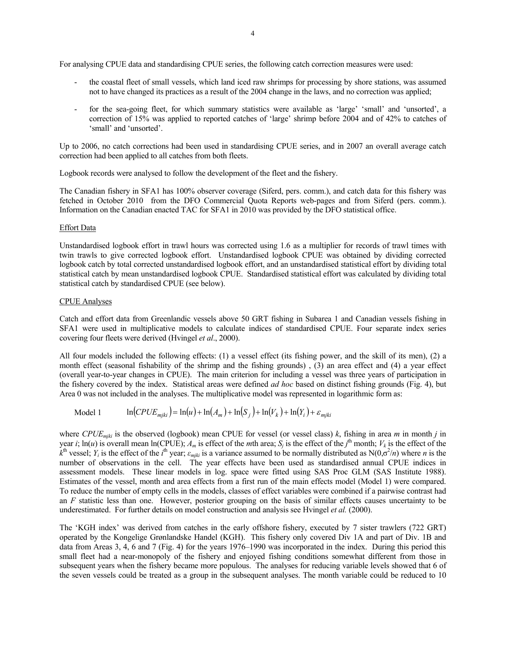For analysing CPUE data and standardising CPUE series, the following catch correction measures were used:

- the coastal fleet of small vessels, which land iced raw shrimps for processing by shore stations, was assumed not to have changed its practices as a result of the 2004 change in the laws, and no correction was applied;
- for the sea-going fleet, for which summary statistics were available as 'large' 'small' and 'unsorted', a correction of 15% was applied to reported catches of 'large' shrimp before 2004 and of 42% to catches of 'small' and 'unsorted'.

Up to 2006, no catch corrections had been used in standardising CPUE series, and in 2007 an overall average catch correction had been applied to all catches from both fleets.

Logbook records were analysed to follow the development of the fleet and the fishery.

The Canadian fishery in SFA1 has 100% observer coverage (Siferd, pers. comm.), and catch data for this fishery was fetched in October 2010 from the DFO Commercial Quota Reports web-pages and from Siferd (pers. comm.). Information on the Canadian enacted TAC for SFA1 in 2010 was provided by the DFO statistical office.

## Effort Data

Unstandardised logbook effort in trawl hours was corrected using 1.6 as a multiplier for records of trawl times with twin trawls to give corrected logbook effort. Unstandardised logbook CPUE was obtained by dividing corrected logbook catch by total corrected unstandardised logbook effort, and an unstandardised statistical effort by dividing total statistical catch by mean unstandardised logbook CPUE. Standardised statistical effort was calculated by dividing total statistical catch by standardised CPUE (see below).

## CPUE Analyses

Catch and effort data from Greenlandic vessels above 50 GRT fishing in Subarea 1 and Canadian vessels fishing in SFA1 were used in multiplicative models to calculate indices of standardised CPUE. Four separate index series covering four fleets were derived (Hvingel *et al*., 2000).

All four models included the following effects: (1) a vessel effect (its fishing power, and the skill of its men), (2) a month effect (seasonal fishability of the shrimp and the fishing grounds) , (3) an area effect and (4) a year effect (overall year-to-year changes in CPUE). The main criterion for including a vessel was three years of participation in the fishery covered by the index. Statistical areas were defined *ad hoc* based on distinct fishing grounds (Fig. 4), but Area 0 was not included in the analyses. The multiplicative model was represented in logarithmic form as:

Model 1  $\ln(CPUE_{mjki}) = \ln(u) + \ln(A_m) + \ln(S_j) + \ln(V_k) + \ln(Y_i) + \varepsilon_{mjki}$ 

where *CPUEmjki* is the observed (logbook) mean CPUE for vessel (or vessel class) *k*, fishing in area *m* in month *j* in year *i*;  $\ln(u)$  is overall mean  $\ln(\text{CPUE})$ ;  $A_m$  is effect of the *m*th area;  $S_j$  is the effect of the *j*<sup>th</sup> month;  $V_k$  is the effect of the  $k^{\text{th}}$  vessel; *Y<sub>i</sub>* is the effect of the *i*<sup>th</sup> year;  $\varepsilon_{mjki}$  is a variance assumed to be normally distributed as N(0, $\sigma^2/n$ ) where *n* is the number of observations in the cell. The year effects have been used as standardised annual CPUE indices in assessment models. These linear models in log. space were fitted using SAS Proc GLM (SAS Institute 1988). Estimates of the vessel, month and area effects from a first run of the main effects model (Model 1) were compared. To reduce the number of empty cells in the models, classes of effect variables were combined if a pairwise contrast had an *F* statistic less than one. However, posterior grouping on the basis of similar effects causes uncertainty to be underestimated. For further details on model construction and analysis see Hvingel *et al.* (2000).

The 'KGH index' was derived from catches in the early offshore fishery, executed by 7 sister trawlers (722 GRT) operated by the Kongelige Grønlandske Handel (KGH). This fishery only covered Div 1A and part of Div. 1B and data from Areas 3, 4, 6 and 7 (Fig. 4) for the years 1976–1990 was incorporated in the index. During this period this small fleet had a near-monopoly of the fishery and enjoyed fishing conditions somewhat different from those in subsequent years when the fishery became more populous. The analyses for reducing variable levels showed that 6 of the seven vessels could be treated as a group in the subsequent analyses. The month variable could be reduced to 10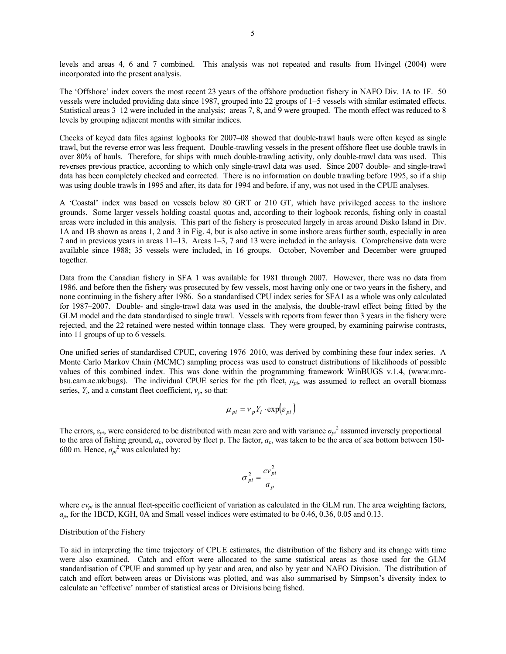levels and areas 4, 6 and 7 combined. This analysis was not repeated and results from Hvingel (2004) were incorporated into the present analysis.

The 'Offshore' index covers the most recent 23 years of the offshore production fishery in NAFO Div. 1A to 1F. 50 vessels were included providing data since 1987, grouped into 22 groups of 1–5 vessels with similar estimated effects. Statistical areas 3–12 were included in the analysis; areas 7, 8, and 9 were grouped. The month effect was reduced to 8 levels by grouping adjacent months with similar indices.

Checks of keyed data files against logbooks for 2007–08 showed that double-trawl hauls were often keyed as single trawl, but the reverse error was less frequent. Double-trawling vessels in the present offshore fleet use double trawls in over 80% of hauls. Therefore, for ships with much double-trawling activity, only double-trawl data was used. This reverses previous practice, according to which only single-trawl data was used. Since 2007 double- and single-trawl data has been completely checked and corrected. There is no information on double trawling before 1995, so if a ship was using double trawls in 1995 and after, its data for 1994 and before, if any, was not used in the CPUE analyses.

A 'Coastal' index was based on vessels below 80 GRT or 210 GT, which have privileged access to the inshore grounds. Some larger vessels holding coastal quotas and, according to their logbook records, fishing only in coastal areas were included in this analysis. This part of the fishery is prosecuted largely in areas around Disko Island in Div. 1A and 1B shown as areas 1, 2 and 3 in Fig. 4, but is also active in some inshore areas further south, especially in area 7 and in previous years in areas 11–13. Areas 1–3, 7 and 13 were included in the anlaysis. Comprehensive data were available since 1988; 35 vessels were included, in 16 groups. October, November and December were grouped together.

Data from the Canadian fishery in SFA 1 was available for 1981 through 2007. However, there was no data from 1986, and before then the fishery was prosecuted by few vessels, most having only one or two years in the fishery, and none continuing in the fishery after 1986. So a standardised CPU index series for SFA1 as a whole was only calculated for 1987–2007. Double- and single-trawl data was used in the analysis, the double-trawl effect being fitted by the GLM model and the data standardised to single trawl. Vessels with reports from fewer than 3 years in the fishery were rejected, and the 22 retained were nested within tonnage class. They were grouped, by examining pairwise contrasts, into 11 groups of up to 6 vessels.

One unified series of standardised CPUE, covering 1976–2010, was derived by combining these four index series. A Monte Carlo Markov Chain (MCMC) sampling process was used to construct distributions of likelihoods of possible values of this combined index. This was done within the programming framework WinBUGS v.1.4, (www.mrcbsu.cam.ac.uk/bugs). The individual CPUE series for the pth fleet, *μpi*, was assumed to reflect an overall biomass series, *Yi*, and a constant fleet coefficient, *νp*, so that:

$$
\mu_{pi} = v_p Y_i \cdot \exp(\varepsilon_{pi})
$$

The errors,  $\varepsilon_{pi}$ , were considered to be distributed with mean zero and with variance  $\sigma_{pi}^2$  assumed inversely proportional to the area of fishing ground, *ap*, covered by fleet p. The factor, *ap*, was taken to be the area of sea bottom between 150- 600 m. Hence,  $\sigma_{pi}^2$  was calculated by:

$$
\sigma_{pi}^2 = \frac{cv_{pi}^2}{a_p}
$$

where  $cv_{pi}$  is the annual fleet-specific coefficient of variation as calculated in the GLM run. The area weighting factors, *ap*, for the 1BCD, KGH, 0A and Small vessel indices were estimated to be 0.46, 0.36, 0.05 and 0.13.

### Distribution of the Fishery

To aid in interpreting the time trajectory of CPUE estimates, the distribution of the fishery and its change with time were also examined. Catch and effort were allocated to the same statistical areas as those used for the GLM standardisation of CPUE and summed up by year and area, and also by year and NAFO Division. The distribution of catch and effort between areas or Divisions was plotted, and was also summarised by Simpson's diversity index to calculate an 'effective' number of statistical areas or Divisions being fished.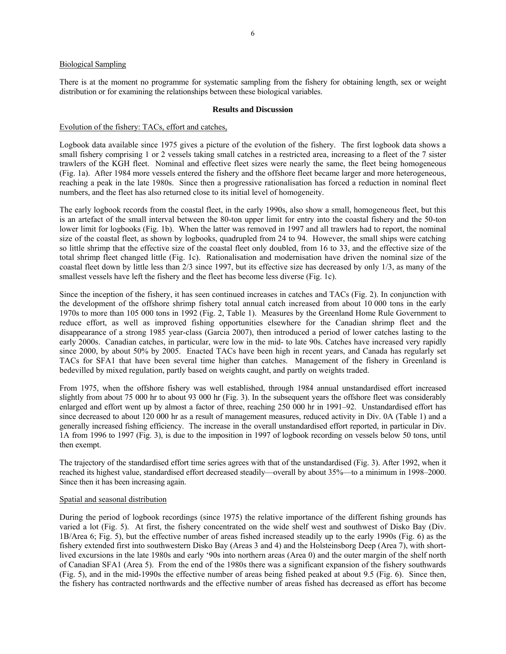## Biological Sampling

There is at the moment no programme for systematic sampling from the fishery for obtaining length, sex or weight distribution or for examining the relationships between these biological variables.

## **Results and Discussion**

## Evolution of the fishery: TACs, effort and catches,

Logbook data available since 1975 gives a picture of the evolution of the fishery. The first logbook data shows a small fishery comprising 1 or 2 vessels taking small catches in a restricted area, increasing to a fleet of the 7 sister trawlers of the KGH fleet. Nominal and effective fleet sizes were nearly the same, the fleet being homogeneous (Fig. 1a). After 1984 more vessels entered the fishery and the offshore fleet became larger and more heterogeneous, reaching a peak in the late 1980s. Since then a progressive rationalisation has forced a reduction in nominal fleet numbers, and the fleet has also returned close to its initial level of homogeneity.

The early logbook records from the coastal fleet, in the early 1990s, also show a small, homogeneous fleet, but this is an artefact of the small interval between the 80-ton upper limit for entry into the coastal fishery and the 50-ton lower limit for logbooks (Fig. 1b). When the latter was removed in 1997 and all trawlers had to report, the nominal size of the coastal fleet, as shown by logbooks, quadrupled from 24 to 94. However, the small ships were catching so little shrimp that the effective size of the coastal fleet only doubled, from 16 to 33, and the effective size of the total shrimp fleet changed little (Fig. 1c). Rationalisation and modernisation have driven the nominal size of the coastal fleet down by little less than 2/3 since 1997, but its effective size has decreased by only 1/3, as many of the smallest vessels have left the fishery and the fleet has become less diverse (Fig. 1c).

Since the inception of the fishery, it has seen continued increases in catches and TACs (Fig. 2). In conjunction with the development of the offshore shrimp fishery total annual catch increased from about 10 000 tons in the early 1970s to more than 105 000 tons in 1992 (Fig. 2, Table 1). Measures by the Greenland Home Rule Government to reduce effort, as well as improved fishing opportunities elsewhere for the Canadian shrimp fleet and the disappearance of a strong 1985 year-class (Garcia 2007), then introduced a period of lower catches lasting to the early 2000s. Canadian catches, in particular, were low in the mid- to late 90s. Catches have increased very rapidly since 2000, by about 50% by 2005. Enacted TACs have been high in recent years, and Canada has regularly set TACs for SFA1 that have been several time higher than catches. Management of the fishery in Greenland is bedevilled by mixed regulation, partly based on weights caught, and partly on weights traded.

From 1975, when the offshore fishery was well established, through 1984 annual unstandardised effort increased slightly from about 75 000 hr to about 93 000 hr (Fig. 3). In the subsequent years the offshore fleet was considerably enlarged and effort went up by almost a factor of three, reaching 250 000 hr in 1991–92. Unstandardised effort has since decreased to about 120 000 hr as a result of management measures, reduced activity in Div. 0A (Table 1) and a generally increased fishing efficiency. The increase in the overall unstandardised effort reported, in particular in Div. 1A from 1996 to 1997 (Fig. 3), is due to the imposition in 1997 of logbook recording on vessels below 50 tons, until then exempt.

The trajectory of the standardised effort time series agrees with that of the unstandardised (Fig. 3). After 1992, when it reached its highest value, standardised effort decreased steadily—overall by about 35%—to a minimum in 1998–2000. Since then it has been increasing again.

## Spatial and seasonal distribution

During the period of logbook recordings (since 1975) the relative importance of the different fishing grounds has varied a lot (Fig. 5). At first, the fishery concentrated on the wide shelf west and southwest of Disko Bay (Div. 1B/Area 6; Fig. 5), but the effective number of areas fished increased steadily up to the early 1990s (Fig. 6) as the fishery extended first into southwestern Disko Bay (Areas 3 and 4) and the Holsteinsborg Deep (Area 7), with shortlived excursions in the late 1980s and early '90s into northern areas (Area 0) and the outer margin of the shelf north of Canadian SFA1 (Area 5). From the end of the 1980s there was a significant expansion of the fishery southwards (Fig. 5), and in the mid-1990s the effective number of areas being fished peaked at about 9.5 (Fig. 6). Since then, the fishery has contracted northwards and the effective number of areas fished has decreased as effort has become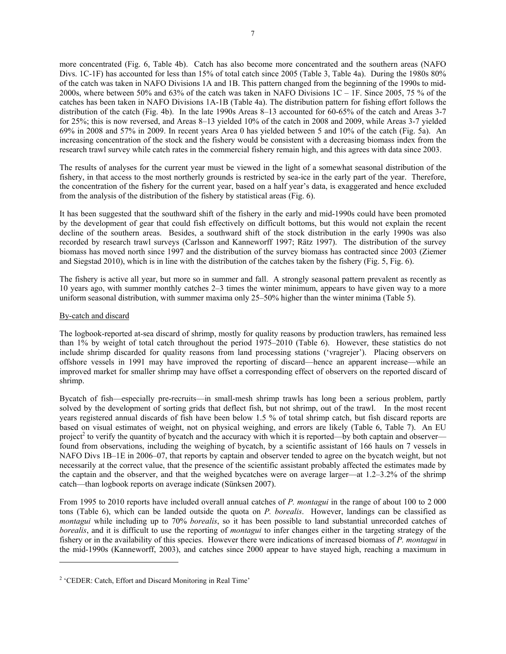more concentrated (Fig. 6, Table 4b). Catch has also become more concentrated and the southern areas (NAFO Divs. 1C-1F) has accounted for less than 15% of total catch since 2005 (Table 3, Table 4a). During the 1980s 80% of the catch was taken in NAFO Divisions 1A and 1B. This pattern changed from the beginning of the 1990s to mid-2000s, where between 50% and 63% of the catch was taken in NAFO Divisions 1C – 1F. Since 2005, 75 % of the catches has been taken in NAFO Divisions 1A-1B (Table 4a). The distribution pattern for fishing effort follows the distribution of the catch (Fig. 4b). In the late 1990s Areas 8–13 accounted for 60-65% of the catch and Areas 3-7 for 25%; this is now reversed, and Areas 8–13 yielded 10% of the catch in 2008 and 2009, while Areas 3-7 yielded 69% in 2008 and 57% in 2009. In recent years Area 0 has yielded between 5 and 10% of the catch (Fig. 5a). An increasing concentration of the stock and the fishery would be consistent with a decreasing biomass index from the research trawl survey while catch rates in the commercial fishery remain high, and this agrees with data since 2003.

The results of analyses for the current year must be viewed in the light of a somewhat seasonal distribution of the fishery, in that access to the most northerly grounds is restricted by sea-ice in the early part of the year. Therefore, the concentration of the fishery for the current year, based on a half year's data, is exaggerated and hence excluded from the analysis of the distribution of the fishery by statistical areas (Fig. 6).

It has been suggested that the southward shift of the fishery in the early and mid-1990s could have been promoted by the development of gear that could fish effectively on difficult bottoms, but this would not explain the recent decline of the southern areas. Besides, a southward shift of the stock distribution in the early 1990s was also recorded by research trawl surveys (Carlsson and Kanneworff 1997; Rätz 1997). The distribution of the survey biomass has moved north since 1997 and the distribution of the survey biomass has contracted since 2003 (Ziemer and Siegstad 2010), which is in line with the distribution of the catches taken by the fishery (Fig. 5, Fig. 6).

The fishery is active all year, but more so in summer and fall. A strongly seasonal pattern prevalent as recently as 10 years ago, with summer monthly catches 2–3 times the winter minimum, appears to have given way to a more uniform seasonal distribution, with summer maxima only 25–50% higher than the winter minima (Table 5).

## By-catch and discard

The logbook-reported at-sea discard of shrimp, mostly for quality reasons by production trawlers, has remained less than 1% by weight of total catch throughout the period 1975–2010 (Table 6). However, these statistics do not include shrimp discarded for quality reasons from land processing stations ('vragrejer'). Placing observers on offshore vessels in 1991 may have improved the reporting of discard—hence an apparent increase—while an improved market for smaller shrimp may have offset a corresponding effect of observers on the reported discard of shrimp.

Bycatch of fish—especially pre-recruits—in small-mesh shrimp trawls has long been a serious problem, partly solved by the development of sorting grids that deflect fish, but not shrimp, out of the trawl. In the most recent years registered annual discards of fish have been below 1.5 % of total shrimp catch, but fish discard reports are based on visual estimates of weight, not on physical weighing, and errors are likely (Table 6, Table 7). An EU project<sup>2</sup> to verify the quantity of bycatch and the accuracy with which it is reported—by both captain and observer found from observations, including the weighing of bycatch, by a scientific assistant of 166 hauls on 7 vessels in NAFO Divs 1B–1E in 2006–07, that reports by captain and observer tended to agree on the bycatch weight, but not necessarily at the correct value, that the presence of the scientific assistant probably affected the estimates made by the captain and the observer, and that the weighed bycatches were on average larger—at 1.2–3.2% of the shrimp catch—than logbook reports on average indicate (Sünksen 2007).

From 1995 to 2010 reports have included overall annual catches of *P. montagui* in the range of about 100 to 2 000 tons (Table 6), which can be landed outside the quota on *P. borealis*. However, landings can be classified as *montagui* while including up to 70% *borealis*, so it has been possible to land substantial unrecorded catches of *borealis*, and it is difficult to use the reporting of *montagui* to infer changes either in the targeting strategy of the fishery or in the availability of this species. However there were indications of increased biomass of *P. montagui* in the mid-1990s (Kanneworff, 2003), and catches since 2000 appear to have stayed high, reaching a maximum in

<sup>&</sup>lt;sup>2</sup> 'CEDER: Catch, Effort and Discard Monitoring in Real Time'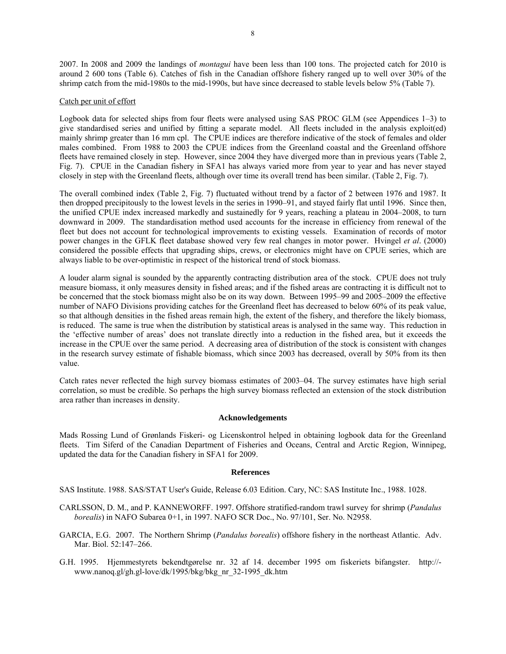2007. In 2008 and 2009 the landings of *montagui* have been less than 100 tons. The projected catch for 2010 is around 2 600 tons (Table 6). Catches of fish in the Canadian offshore fishery ranged up to well over 30% of the shrimp catch from the mid-1980s to the mid-1990s, but have since decreased to stable levels below 5% (Table 7).

## Catch per unit of effort

Logbook data for selected ships from four fleets were analysed using SAS PROC GLM (see Appendices 1–3) to give standardised series and unified by fitting a separate model. All fleets included in the analysis exploit(ed) mainly shrimp greater than 16 mm cpl. The CPUE indices are therefore indicative of the stock of females and older males combined. From 1988 to 2003 the CPUE indices from the Greenland coastal and the Greenland offshore fleets have remained closely in step. However, since 2004 they have diverged more than in previous years (Table 2, Fig. 7). CPUE in the Canadian fishery in SFA1 has always varied more from year to year and has never stayed closely in step with the Greenland fleets, although over time its overall trend has been similar. (Table 2, Fig. 7).

The overall combined index (Table 2, Fig. 7) fluctuated without trend by a factor of 2 between 1976 and 1987. It then dropped precipitously to the lowest levels in the series in 1990–91, and stayed fairly flat until 1996. Since then, the unified CPUE index increased markedly and sustainedly for 9 years, reaching a plateau in 2004–2008, to turn downward in 2009. The standardisation method used accounts for the increase in efficiency from renewal of the fleet but does not account for technological improvements to existing vessels. Examination of records of motor power changes in the GFLK fleet database showed very few real changes in motor power. Hvingel *et al*. (2000) considered the possible effects that upgrading ships, crews, or electronics might have on CPUE series, which are always liable to be over-optimistic in respect of the historical trend of stock biomass.

A louder alarm signal is sounded by the apparently contracting distribution area of the stock. CPUE does not truly measure biomass, it only measures density in fished areas; and if the fished areas are contracting it is difficult not to be concerned that the stock biomass might also be on its way down. Between 1995–99 and 2005–2009 the effective number of NAFO Divisions providing catches for the Greenland fleet has decreased to below 60% of its peak value, so that although densities in the fished areas remain high, the extent of the fishery, and therefore the likely biomass, is reduced. The same is true when the distribution by statistical areas is analysed in the same way. This reduction in the 'effective number of areas' does not translate directly into a reduction in the fished area, but it exceeds the increase in the CPUE over the same period. A decreasing area of distribution of the stock is consistent with changes in the research survey estimate of fishable biomass, which since 2003 has decreased, overall by 50% from its then value.

Catch rates never reflected the high survey biomass estimates of 2003–04. The survey estimates have high serial correlation, so must be credible. So perhaps the high survey biomass reflected an extension of the stock distribution area rather than increases in density.

## **Acknowledgements**

Mads Rossing Lund of Grønlands Fiskeri- og Licenskontrol helped in obtaining logbook data for the Greenland fleets. Tim Siferd of the Canadian Department of Fisheries and Oceans, Central and Arctic Region, Winnipeg, updated the data for the Canadian fishery in SFA1 for 2009.

## **References**

SAS Institute. 1988. SAS/STAT User's Guide, Release 6.03 Edition. Cary, NC: SAS Institute Inc., 1988. 1028.

- CARLSSON, D. M., and P. KANNEWORFF. 1997. Offshore stratified-random trawl survey for shrimp (*Pandalus borealis*) in NAFO Subarea 0+1, in 1997. NAFO SCR Doc., No. 97/101, Ser. No. N2958.
- GARCIA, E.G. 2007. The Northern Shrimp (*Pandalus borealis*) offshore fishery in the northeast Atlantic. Adv. Mar. Biol. 52:147–266.
- G.H. 1995. Hjemmestyrets bekendtgørelse nr. 32 af 14. december 1995 om fiskeriets bifangster. http:// www.nanoq.gl/gh.gl-love/dk/1995/bkg/bkg\_nr\_32-1995\_dk.htm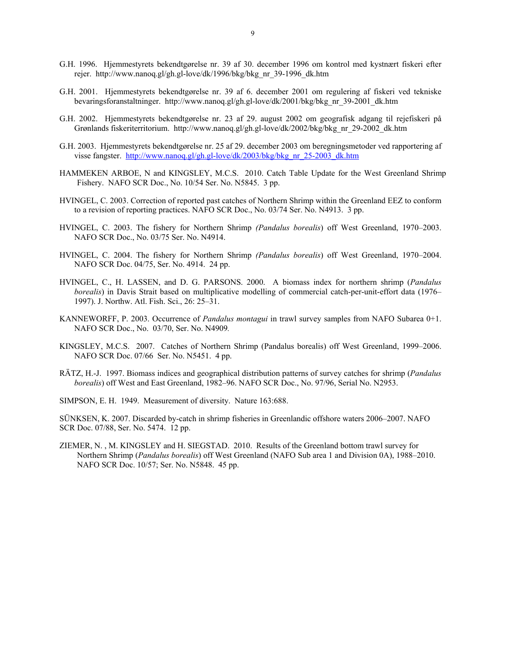- G.H. 1996. Hjemmestyrets bekendtgørelse nr. 39 af 30. december 1996 om kontrol med kystnært fiskeri efter rejer. http://www.nanoq.gl/gh.gl-love/dk/1996/bkg/bkg nr 39-1996 dk.htm
- G.H. 2001. Hjemmestyrets bekendtgørelse nr. 39 af 6. december 2001 om regulering af fiskeri ved tekniske bevaringsforanstaltninger. http://www.nanoq.gl/gh.gl-love/dk/2001/bkg/bkg\_nr\_39-2001\_dk.htm
- G.H. 2002. Hjemmestyrets bekendtgørelse nr. 23 af 29. august 2002 om geografisk adgang til rejefiskeri på Grønlands fiskeriterritorium. http://www.nanoq.gl/gh.gl-love/dk/2002/bkg/bkg\_nr\_29-2002\_dk.htm
- G.H. 2003. Hjemmestyrets bekendtgørelse nr. 25 af 29. december 2003 om beregningsmetoder ved rapportering af visse fangster. http://www.nanoq.gl/gh.gl-love/dk/2003/bkg/bkg\_nr\_25-2003\_dk.htm
- HAMMEKEN ARBOE, N and KINGSLEY, M.C.S. 2010. Catch Table Update for the West Greenland Shrimp Fishery. NAFO SCR Doc., No. 10/54 Ser. No. N5845. 3 pp.
- HVINGEL, C. 2003. Correction of reported past catches of Northern Shrimp within the Greenland EEZ to conform to a revision of reporting practices. NAFO SCR Doc., No. 03/74 Ser. No. N4913. 3 pp.
- HVINGEL, C. 2003. The fishery for Northern Shrimp *(Pandalus borealis*) off West Greenland, 1970–2003. NAFO SCR Doc., No. 03/75 Ser. No. N4914.
- HVINGEL, C. 2004. The fishery for Northern Shrimp *(Pandalus borealis*) off West Greenland, 1970–2004. NAFO SCR Doc. 04/75, Ser. No. 4914. 24 pp.
- HVINGEL, C., H. LASSEN, and D. G. PARSONS. 2000. A biomass index for northern shrimp (*Pandalus borealis*) in Davis Strait based on multiplicative modelling of commercial catch-per-unit-effort data (1976– 1997). J. Northw. Atl. Fish. Sci., 26: 25–31.
- KANNEWORFF, P. 2003. Occurrence of *Pandalus montagui* in trawl survey samples from NAFO Subarea 0+1. NAFO SCR Doc., No. 03/70, Ser. No. N4909*.*
- KINGSLEY, M.C.S. 2007. Catches of Northern Shrimp (Pandalus borealis) off West Greenland, 1999–2006. NAFO SCR Doc. 07/66 Ser. No. N5451. 4 pp.
- RÄTZ, H.-J. 1997. Biomass indices and geographical distribution patterns of survey catches for shrimp (*Pandalus borealis*) off West and East Greenland, 1982–96. NAFO SCR Doc., No. 97/96, Serial No. N2953.
- SIMPSON, E. H. 1949. Measurement of diversity. Nature 163:688.

SÜNKSEN, K. 2007. Discarded by-catch in shrimp fisheries in Greenlandic offshore waters 2006–2007. NAFO SCR Doc. 07/88, Ser. No. 5474. 12 pp.

ZIEMER, N. , M. KINGSLEY and H. SIEGSTAD. 2010. Results of the Greenland bottom trawl survey for Northern Shrimp (*Pandalus borealis*) off West Greenland (NAFO Sub area 1 and Division 0A), 1988–2010. NAFO SCR Doc. 10/57; Ser. No. N5848. 45 pp.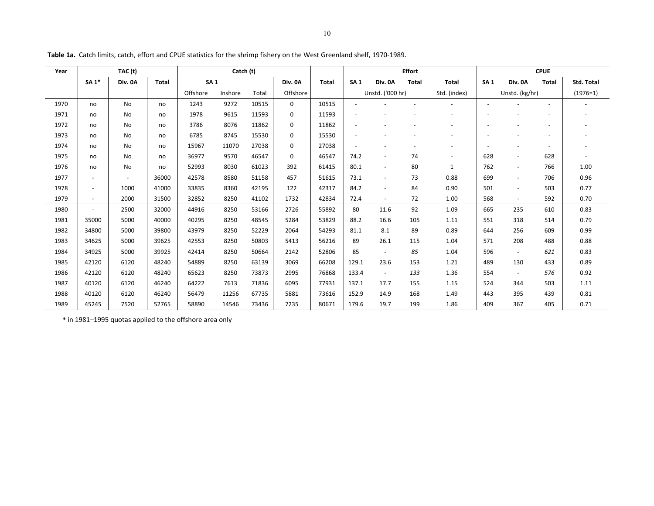| Year | TAC (t)                  |                          |              | Catch (t)  |         |       |             |              | <b>Effort</b> |                          |                          |              | <b>CPUE</b>     |                          |                          |                   |
|------|--------------------------|--------------------------|--------------|------------|---------|-------|-------------|--------------|---------------|--------------------------|--------------------------|--------------|-----------------|--------------------------|--------------------------|-------------------|
|      | <b>SA1*</b>              | Div. 0A                  | <b>Total</b> | <b>SA1</b> |         |       | Div. 0A     | <b>Total</b> | <b>SA1</b>    | Div. 0A                  | <b>Total</b>             | Total        | SA <sub>1</sub> | Div. 0A                  | Total                    | <b>Std. Total</b> |
|      |                          |                          |              | Offshore   | Inshore | Total | Offshore    |              |               | Unstd. ('000 hr)         |                          | Std. (index) |                 | Unstd. (kg/hr)           |                          | $(1976=1)$        |
| 1970 | no                       | No                       | no           | 1243       | 9272    | 10515 | $\Omega$    | 10515        |               |                          |                          |              |                 |                          |                          |                   |
| 1971 | no                       | No                       | no           | 1978       | 9615    | 11593 | $\Omega$    | 11593        |               |                          | ٠                        |              |                 |                          |                          |                   |
| 1972 | no                       | <b>No</b>                | no           | 3786       | 8076    | 11862 | $\mathbf 0$ | 11862        |               |                          | $\overline{\phantom{a}}$ |              |                 |                          | $\overline{\phantom{a}}$ |                   |
| 1973 | no                       | N <sub>0</sub>           | no           | 6785       | 8745    | 15530 | 0           | 15530        |               |                          | $\overline{a}$           |              |                 |                          |                          |                   |
| 1974 | no                       | <b>No</b>                | no           | 15967      | 11070   | 27038 | $\mathbf 0$ | 27038        |               |                          | ٠                        |              |                 |                          | $\overline{\phantom{a}}$ |                   |
| 1975 | no                       | <b>No</b>                | no           | 36977      | 9570    | 46547 | $\Omega$    | 46547        | 74.2          | $\overline{\phantom{a}}$ | 74                       |              | 628             | $\overline{\phantom{a}}$ | 628                      |                   |
| 1976 | no                       | No                       | no           | 52993      | 8030    | 61023 | 392         | 61415        | 80.1          | $\overline{\phantom{a}}$ | 80                       |              | 762             | $\overline{\phantom{a}}$ | 766                      | 1.00              |
| 1977 | $\overline{\phantom{a}}$ | $\overline{\phantom{a}}$ | 36000        | 42578      | 8580    | 51158 | 457         | 51615        | 73.1          | $\overline{\phantom{a}}$ | 73                       | 0.88         | 699             | $\blacksquare$           | 706                      | 0.96              |
| 1978 | $\overline{\phantom{a}}$ | 1000                     | 41000        | 33835      | 8360    | 42195 | 122         | 42317        | 84.2          | $\blacksquare$           | 84                       | 0.90         | 501             | $\blacksquare$           | 503                      | 0.77              |
| 1979 | $\overline{\phantom{a}}$ | 2000                     | 31500        | 32852      | 8250    | 41102 | 1732        | 42834        | 72.4          |                          | 72                       | 1.00         | 568             | $\blacksquare$           | 592                      | 0.70              |
| 1980 | $\overline{\phantom{a}}$ | 2500                     | 32000        | 44916      | 8250    | 53166 | 2726        | 55892        | 80            | 11.6                     | 92                       | 1.09         | 665             | 235                      | 610                      | 0.83              |
| 1981 | 35000                    | 5000                     | 40000        | 40295      | 8250    | 48545 | 5284        | 53829        | 88.2          | 16.6                     | 105                      | 1.11         | 551             | 318                      | 514                      | 0.79              |
| 1982 | 34800                    | 5000                     | 39800        | 43979      | 8250    | 52229 | 2064        | 54293        | 81.1          | 8.1                      | 89                       | 0.89         | 644             | 256                      | 609                      | 0.99              |
| 1983 | 34625                    | 5000                     | 39625        | 42553      | 8250    | 50803 | 5413        | 56216        | 89            | 26.1                     | 115                      | 1.04         | 571             | 208                      | 488                      | 0.88              |
| 1984 | 34925                    | 5000                     | 39925        | 42414      | 8250    | 50664 | 2142        | 52806        | 85            | $\sim$                   | 85                       | 1.04         | 596             | $\omega$                 | 621                      | 0.83              |
| 1985 | 42120                    | 6120                     | 48240        | 54889      | 8250    | 63139 | 3069        | 66208        | 129.1         | 23.6                     | 153                      | 1.21         | 489             | 130                      | 433                      | 0.89              |
| 1986 | 42120                    | 6120                     | 48240        | 65623      | 8250    | 73873 | 2995        | 76868        | 133.4         | $\sim$                   | 133                      | 1.36         | 554             | $\overline{\phantom{a}}$ | 576                      | 0.92              |
| 1987 | 40120                    | 6120                     | 46240        | 64222      | 7613    | 71836 | 6095        | 77931        | 137.1         | 17.7                     | 155                      | 1.15         | 524             | 344                      | 503                      | 1.11              |
| 1988 | 40120                    | 6120                     | 46240        | 56479      | 11256   | 67735 | 5881        | 73616        | 152.9         | 14.9                     | 168                      | 1.49         | 443             | 395                      | 439                      | 0.81              |
| 1989 | 45245                    | 7520                     | 52765        | 58890      | 14546   | 73436 | 7235        | 80671        | 179.6         | 19.7                     | 199                      | 1.86         | 409             | 367                      | 405                      | 0.71              |

**Table 1a.** Catch limits, catch, effort and CPUE statistics for the shrimp fishery on the West Greenland shelf, 1970‐1989.

**\*** in 1981–1995 quotas applied to the offshore area only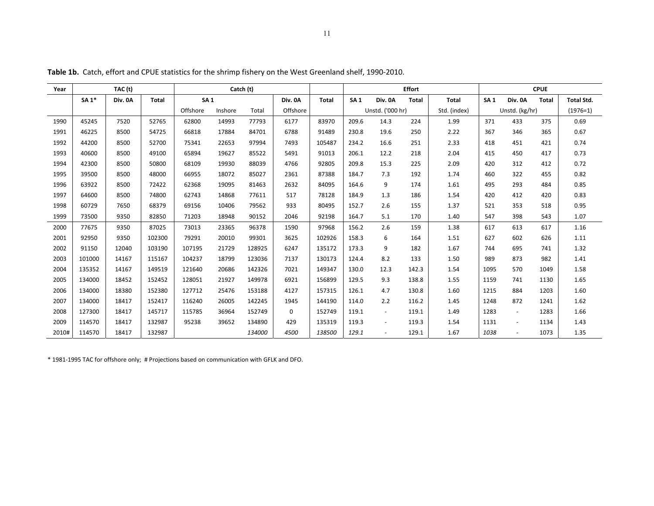| Year  |             | TAC (t) |              | Catch (t)  |         |        |          | <b>Effort</b> |            |                          |              | <b>CPUE</b>  |            |                |              |                   |
|-------|-------------|---------|--------------|------------|---------|--------|----------|---------------|------------|--------------------------|--------------|--------------|------------|----------------|--------------|-------------------|
|       | <b>SA1*</b> | Div. 0A | <b>Total</b> | <b>SA1</b> |         |        | Div. 0A  | <b>Total</b>  | <b>SA1</b> | Div. 0A                  | <b>Total</b> | <b>Total</b> | <b>SA1</b> | Div. 0A        | <b>Total</b> | <b>Total Std.</b> |
|       |             |         |              | Offshore   | Inshore | Total  | Offshore |               |            | Unstd. ('000 hr)         |              | Std. (index) |            | Unstd. (kg/hr) |              | $(1976=1)$        |
| 1990  | 45245       | 7520    | 52765        | 62800      | 14993   | 77793  | 6177     | 83970         | 209.6      | 14.3                     | 224          | 1.99         | 371        | 433            | 375          | 0.69              |
| 1991  | 46225       | 8500    | 54725        | 66818      | 17884   | 84701  | 6788     | 91489         | 230.8      | 19.6                     | 250          | 2.22         | 367        | 346            | 365          | 0.67              |
| 1992  | 44200       | 8500    | 52700        | 75341      | 22653   | 97994  | 7493     | 105487        | 234.2      | 16.6                     | 251          | 2.33         | 418        | 451            | 421          | 0.74              |
| 1993  | 40600       | 8500    | 49100        | 65894      | 19627   | 85522  | 5491     | 91013         | 206.1      | 12.2                     | 218          | 2.04         | 415        | 450            | 417          | 0.73              |
| 1994  | 42300       | 8500    | 50800        | 68109      | 19930   | 88039  | 4766     | 92805         | 209.8      | 15.3                     | 225          | 2.09         | 420        | 312            | 412          | 0.72              |
| 1995  | 39500       | 8500    | 48000        | 66955      | 18072   | 85027  | 2361     | 87388         | 184.7      | 7.3                      | 192          | 1.74         | 460        | 322            | 455          | 0.82              |
| 1996  | 63922       | 8500    | 72422        | 62368      | 19095   | 81463  | 2632     | 84095         | 164.6      | 9                        | 174          | 1.61         | 495        | 293            | 484          | 0.85              |
| 1997  | 64600       | 8500    | 74800        | 62743      | 14868   | 77611  | 517      | 78128         | 184.9      | 1.3                      | 186          | 1.54         | 420        | 412            | 420          | 0.83              |
| 1998  | 60729       | 7650    | 68379        | 69156      | 10406   | 79562  | 933      | 80495         | 152.7      | 2.6                      | 155          | 1.37         | 521        | 353            | 518          | 0.95              |
| 1999  | 73500       | 9350    | 82850        | 71203      | 18948   | 90152  | 2046     | 92198         | 164.7      | 5.1                      | 170          | 1.40         | 547        | 398            | 543          | 1.07              |
| 2000  | 77675       | 9350    | 87025        | 73013      | 23365   | 96378  | 1590     | 97968         | 156.2      | 2.6                      | 159          | 1.38         | 617        | 613            | 617          | 1.16              |
| 2001  | 92950       | 9350    | 102300       | 79291      | 20010   | 99301  | 3625     | 102926        | 158.3      | 6                        | 164          | 1.51         | 627        | 602            | 626          | 1.11              |
| 2002  | 91150       | 12040   | 103190       | 107195     | 21729   | 128925 | 6247     | 135172        | 173.3      | 9                        | 182          | 1.67         | 744        | 695            | 741          | 1.32              |
| 2003  | 101000      | 14167   | 115167       | 104237     | 18799   | 123036 | 7137     | 130173        | 124.4      | 8.2                      | 133          | 1.50         | 989        | 873            | 982          | 1.41              |
| 2004  | 135352      | 14167   | 149519       | 121640     | 20686   | 142326 | 7021     | 149347        | 130.0      | 12.3                     | 142.3        | 1.54         | 1095       | 570            | 1049         | 1.58              |
| 2005  | 134000      | 18452   | 152452       | 128051     | 21927   | 149978 | 6921     | 156899        | 129.5      | 9.3                      | 138.8        | 1.55         | 1159       | 741            | 1130         | 1.65              |
| 2006  | 134000      | 18380   | 152380       | 127712     | 25476   | 153188 | 4127     | 157315        | 126.1      | 4.7                      | 130.8        | 1.60         | 1215       | 884            | 1203         | 1.60              |
| 2007  | 134000      | 18417   | 152417       | 116240     | 26005   | 142245 | 1945     | 144190        | 114.0      | 2.2                      | 116.2        | 1.45         | 1248       | 872            | 1241         | 1.62              |
| 2008  | 127300      | 18417   | 145717       | 115785     | 36964   | 152749 | $\Omega$ | 152749        | 119.1      | $\overline{\phantom{a}}$ | 119.1        | 1.49         | 1283       | $\sim$         | 1283         | 1.66              |
| 2009  | 114570      | 18417   | 132987       | 95238      | 39652   | 134890 | 429      | 135319        | 119.3      | $\overline{\phantom{a}}$ | 119.3        | 1.54         | 1131       | $\blacksquare$ | 1134         | 1.43              |
| 2010# | 114570      | 18417   | 132987       |            |         | 134000 | 4500     | 138500        | 129.1      |                          | 129.1        | 1.67         | 1038       | $\overline{a}$ | 1073         | 1.35              |

**Table 1b.** Catch, effort and CPUE statistics for the shrimp fishery on the West Greenland shelf, 1990‐2010.

\* 1981‐1995 TAC for offshore only; # Projections based on communication with GFLK and DFO.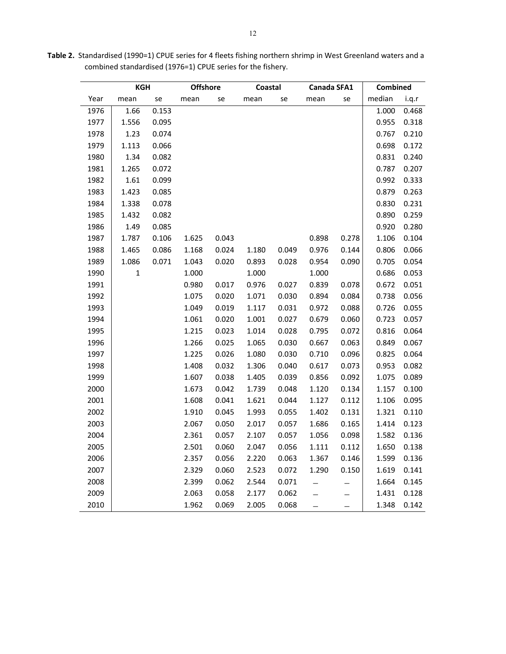|      | <b>KGH</b>  |       | <b>Offshore</b> |       | Coastal |       | Canada SFA1 |       | Combined |       |
|------|-------------|-------|-----------------|-------|---------|-------|-------------|-------|----------|-------|
| Year | mean        | se    | mean            | se    | mean    | se    | mean        | se    | median   | i.q.r |
| 1976 | 1.66        | 0.153 |                 |       |         |       |             |       | 1.000    | 0.468 |
| 1977 | 1.556       | 0.095 |                 |       |         |       |             |       | 0.955    | 0.318 |
| 1978 | 1.23        | 0.074 |                 |       |         |       |             |       | 0.767    | 0.210 |
| 1979 | 1.113       | 0.066 |                 |       |         |       |             |       | 0.698    | 0.172 |
| 1980 | 1.34        | 0.082 |                 |       |         |       |             |       | 0.831    | 0.240 |
| 1981 | 1.265       | 0.072 |                 |       |         |       |             |       | 0.787    | 0.207 |
| 1982 | 1.61        | 0.099 |                 |       |         |       |             |       | 0.992    | 0.333 |
| 1983 | 1.423       | 0.085 |                 |       |         |       |             |       | 0.879    | 0.263 |
| 1984 | 1.338       | 0.078 |                 |       |         |       |             |       | 0.830    | 0.231 |
| 1985 | 1.432       | 0.082 |                 |       |         |       |             |       | 0.890    | 0.259 |
| 1986 | 1.49        | 0.085 |                 |       |         |       |             |       | 0.920    | 0.280 |
| 1987 | 1.787       | 0.106 | 1.625           | 0.043 |         |       | 0.898       | 0.278 | 1.106    | 0.104 |
| 1988 | 1.465       | 0.086 | 1.168           | 0.024 | 1.180   | 0.049 | 0.976       | 0.144 | 0.806    | 0.066 |
| 1989 | 1.086       | 0.071 | 1.043           | 0.020 | 0.893   | 0.028 | 0.954       | 0.090 | 0.705    | 0.054 |
| 1990 | $\mathbf 1$ |       | 1.000           |       | 1.000   |       | 1.000       |       | 0.686    | 0.053 |
| 1991 |             |       | 0.980           | 0.017 | 0.976   | 0.027 | 0.839       | 0.078 | 0.672    | 0.051 |
| 1992 |             |       | 1.075           | 0.020 | 1.071   | 0.030 | 0.894       | 0.084 | 0.738    | 0.056 |
| 1993 |             |       | 1.049           | 0.019 | 1.117   | 0.031 | 0.972       | 0.088 | 0.726    | 0.055 |
| 1994 |             |       | 1.061           | 0.020 | 1.001   | 0.027 | 0.679       | 0.060 | 0.723    | 0.057 |
| 1995 |             |       | 1.215           | 0.023 | 1.014   | 0.028 | 0.795       | 0.072 | 0.816    | 0.064 |
| 1996 |             |       | 1.266           | 0.025 | 1.065   | 0.030 | 0.667       | 0.063 | 0.849    | 0.067 |
| 1997 |             |       | 1.225           | 0.026 | 1.080   | 0.030 | 0.710       | 0.096 | 0.825    | 0.064 |
| 1998 |             |       | 1.408           | 0.032 | 1.306   | 0.040 | 0.617       | 0.073 | 0.953    | 0.082 |
| 1999 |             |       | 1.607           | 0.038 | 1.405   | 0.039 | 0.856       | 0.092 | 1.075    | 0.089 |
| 2000 |             |       | 1.673           | 0.042 | 1.739   | 0.048 | 1.120       | 0.134 | 1.157    | 0.100 |
| 2001 |             |       | 1.608           | 0.041 | 1.621   | 0.044 | 1.127       | 0.112 | 1.106    | 0.095 |
| 2002 |             |       | 1.910           | 0.045 | 1.993   | 0.055 | 1.402       | 0.131 | 1.321    | 0.110 |
| 2003 |             |       | 2.067           | 0.050 | 2.017   | 0.057 | 1.686       | 0.165 | 1.414    | 0.123 |
| 2004 |             |       | 2.361           | 0.057 | 2.107   | 0.057 | 1.056       | 0.098 | 1.582    | 0.136 |
| 2005 |             |       | 2.501           | 0.060 | 2.047   | 0.056 | 1.111       | 0.112 | 1.650    | 0.138 |
| 2006 |             |       | 2.357           | 0.056 | 2.220   | 0.063 | 1.367       | 0.146 | 1.599    | 0.136 |
| 2007 |             |       | 2.329           | 0.060 | 2.523   | 0.072 | 1.290       | 0.150 | 1.619    | 0.141 |
| 2008 |             |       | 2.399           | 0.062 | 2.544   | 0.071 |             |       | 1.664    | 0.145 |
| 2009 |             |       | 2.063           | 0.058 | 2.177   | 0.062 |             |       | 1.431    | 0.128 |
| 2010 |             |       | 1.962           | 0.069 | 2.005   | 0.068 |             | —     | 1.348    | 0.142 |

**Table 2.** Standardised (1990=1) CPUE series for 4 fleets fishing northern shrimp in West Greenland waters and a combined standardised (1976=1) CPUE series for the fishery.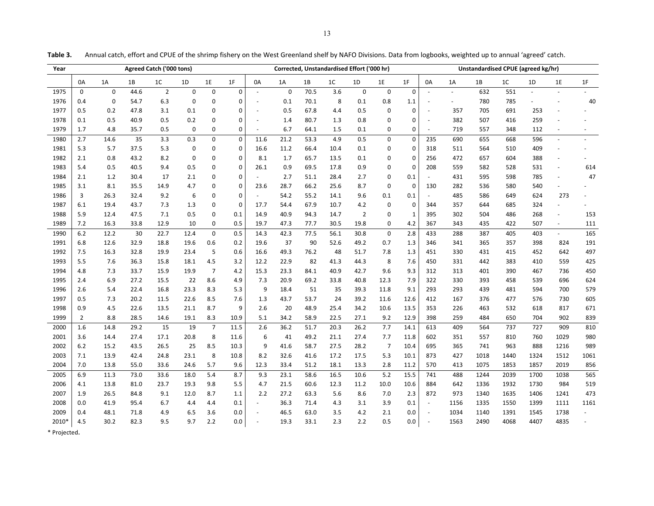| Year  |                |             |      | Agreed Catch ('000 tons) |                  |                |                         |                          |             | Corrected, Unstandardised Effort ('000 hr) |                  |                |                |              |                |          | Unstandardised CPUE (agreed kg/hr) |                |      |      |      |
|-------|----------------|-------------|------|--------------------------|------------------|----------------|-------------------------|--------------------------|-------------|--------------------------------------------|------------------|----------------|----------------|--------------|----------------|----------|------------------------------------|----------------|------|------|------|
|       | 0A             | 1A          | 1B   | 1C                       | 1D               | $1\mathsf{E}$  | 1F                      | 0A                       | 1A          | 1B                                         | 1C               | 1D             | 1E             | 1F           | 0A             | 1A       | $1\mathrm{B}$                      | 1 <sup>C</sup> | 1D   | 1E   | 1F   |
| 1975  | $\mathbf 0$    | $\mathbf 0$ | 44.6 | $\overline{2}$           | $\pmb{0}$        | $\pmb{0}$      | $\mathbf 0$             | $\omega$                 | $\mathbf 0$ | 70.5                                       | $\overline{3.6}$ | $\overline{0}$ | $\overline{0}$ | $\pmb{0}$    | $\mathbb{Z}$   | $\omega$ | 632                                | 551            |      |      |      |
| 1976  | 0.4            | $\pmb{0}$   | 54.7 | 6.3                      | $\mathbf 0$      | 0              | $\mathbf 0$             |                          | 0.1         | 70.1                                       | $\bf 8$          | 0.1            | 0.8            | 1.1          |                |          | 780                                | 785            |      |      | 40   |
| 1977  | 0.5            | 0.2         | 47.8 | 3.1                      | 0.1              | 0              | 0                       |                          | 0.5         | 67.8                                       | 4.4              | 0.5            | $\pmb{0}$      | $\mathbf 0$  | $\sim$         | 357      | 705                                | 691            | 253  |      |      |
| 1978  | 0.1            | 0.5         | 40.9 | 0.5                      | 0.2              | 0              | $\mathbf 0$             |                          | 1.4         | 80.7                                       | 1.3              | 0.8            | $\pmb{0}$      | $\mathbf 0$  | $\omega$       | 382      | 507                                | 416            | 259  |      |      |
| 1979  | 1.7            | 4.8         | 35.7 | 0.5                      | $\mathbf 0$      | 0              | $\pmb{0}$               |                          | 6.7         | 64.1                                       | 1.5              | 0.1            | $\mathbf 0$    | $\mathbf 0$  | $\blacksquare$ | 719      | 557                                | 348            | 112  |      |      |
| 1980  | 2.7            | 14.6        | 35   | 3.3                      | 0.3              | $\overline{0}$ | $\overline{\mathbf{0}}$ | 11.6                     | 21.2        | 53.3                                       | 4.9              | 0.5            | $\pmb{0}$      | $\mathbf 0$  | 235            | 690      | 655                                | 668            | 596  |      |      |
| 1981  | 5.3            | 5.7         | 37.5 | 5.3                      | $\pmb{0}$        | 0              | $\mathbf 0$             | 16.6                     | 11.2        | 66.4                                       | 10.4             | 0.1            | 0              | $\mathbf 0$  | 318            | 511      | 564                                | 510            | 409  |      |      |
| 1982  | 2.1            | $0.8\,$     | 43.2 | 8.2                      | $\pmb{0}$        | 0              | $\pmb{0}$               | 8.1                      | 1.7         | 65.7                                       | 13.5             | $0.1\,$        | $\mathbf 0$    | $\mathbf 0$  | 256            | 472      | 657                                | 604            | 388  |      |      |
| 1983  | 5.4            | 0.5         | 40.5 | 9.4                      | 0.5              | 0              | $\mathbf 0$             | 26.1                     | 0.9         | 69.5                                       | 17.8             | 0.9            | $\overline{0}$ | $\mathbf 0$  | 208            | 559      | 582                                | 528            | 531  |      | 614  |
| 1984  | $2.1\,$        | 1.2         | 30.4 | 17                       | 2.1              | 0              | $\mathbf 0$             |                          | 2.7         | 51.1                                       | 28.4             | 2.7            | $\pmb{0}$      | 0.1          |                | 431      | 595                                | 598            | 785  |      | 47   |
| 1985  | 3.1            | 8.1         | 35.5 | 14.9                     | 4.7              | 0              | $\mathbf 0$             | 23.6                     | 28.7        | 66.2                                       | 25.6             | 8.7            | $\mathbf 0$    | $\mathbf 0$  | 130            | 282      | 536                                | 580            | 540  |      |      |
| 1986  | 3              | 26.3        | 32.4 | 9.2                      | $\boldsymbol{6}$ | 0              | $\mathbf 0$             |                          | 54.2        | 55.2                                       | 14.1             | 9.6            | 0.1            | 0.1          |                | 485      | 586                                | 649            | 624  | 273  |      |
| 1987  | 6.1            | 19.4        | 43.7 | 7.3                      | 1.3              | $\pmb{0}$      | $\mathbf 0$             | 17.7                     | 54.4        | 67.9                                       | 10.7             | 4.2            | $\pmb{0}$      | $\pmb{0}$    | 344            | 357      | 644                                | 685            | 324  |      |      |
| 1988  | 5.9            | 12.4        | 47.5 | 7.1                      | 0.5              | 0              | 0.1                     | 14.9                     | 40.9        | 94.3                                       | 14.7             | $\overline{2}$ | $\mathbf 0$    | $\mathbf{1}$ | 395            | 302      | 504                                | 486            | 268  |      | 153  |
| 1989  | 7.2            | 16.3        | 33.8 | 12.9                     | 10               | 0              | 0.5                     | 19.7                     | 47.3        | 77.7                                       | 30.5             | 19.8           | $\pmb{0}$      | 4.2          | 367            | 343      | 435                                | 422            | 507  |      | 111  |
| 1990  | 6.2            | 12.2        | 30   | 22.7                     | 12.4             | $\mathbf 0$    | 0.5                     | 14.3                     | 42.3        | 77.5                                       | 56.1             | 30.8           | $\mathbf 0$    | 2.8          | 433            | 288      | 387                                | 405            | 403  |      | 165  |
| 1991  | 6.8            | 12.6        | 32.9 | 18.8                     | 19.6             | 0.6            | 0.2                     | 19.6                     | 37          | 90                                         | 52.6             | 49.2           | 0.7            | 1.3          | 346            | 341      | 365                                | 357            | 398  | 824  | 191  |
| 1992  | 7.5            | 16.3        | 32.8 | 19.9                     | 23.4             | $\sqrt{5}$     | 0.6                     | 16.6                     | 49.3        | 76.2                                       | 48               | 51.7           | 7.8            | 1.3          | 451            | 330      | 431                                | 415            | 452  | 642  | 497  |
| 1993  | 5.5            | 7.6         | 36.3 | 15.8                     | 18.1             | 4.5            | 3.2                     | 12.2                     | 22.9        | 82                                         | 41.3             | 44.3           | 8              | 7.6          | 450            | 331      | 442                                | 383            | 410  | 559  | 425  |
| 1994  | 4.8            | 7.3         | 33.7 | 15.9                     | 19.9             | $\overline{7}$ | 4.2                     | 15.3                     | 23.3        | 84.1                                       | 40.9             | 42.7           | 9.6            | 9.3          | 312            | 313      | 401                                | 390            | 467  | 736  | 450  |
| 1995  | 2.4            | 6.9         | 27.2 | 15.5                     | 22               | 8.6            | 4.9                     | 7.3                      | 20.9        | 69.2                                       | 33.8             | 40.8           | 12.3           | 7.9          | 322            | 330      | 393                                | 458            | 539  | 696  | 624  |
| 1996  | 2.6            | 5.4         | 22.4 | 16.8                     | 23.3             | 8.3            | 5.3                     | 9                        | 18.4        | 51                                         | 35               | 39.3           | 11.8           | 9.1          | 293            | 293      | 439                                | 481            | 594  | 700  | 579  |
| 1997  | 0.5            | 7.3         | 20.2 | 11.5                     | 22.6             | 8.5            | 7.6                     | 1.3                      | 43.7        | 53.7                                       | 24               | 39.2           | 11.6           | 12.6         | 412            | 167      | 376                                | 477            | 576  | 730  | 605  |
| 1998  | 0.9            | $4.5\,$     | 22.6 | 13.5                     | 21.1             | 8.7            | 9                       | 2.6                      | 20          | 48.9                                       | 25.4             | 34.2           | 10.6           | 13.5         | 353            | 226      | 463                                | 532            | 618  | 817  | 671  |
| 1999  | $\overline{2}$ | 8.8         | 28.5 | 14.6                     | 19.1             | 8.3            | 10.9                    | 5.1                      | 34.2        | 58.9                                       | 22.5             | 27.1           | 9.2            | 12.9         | 398            | 259      | 484                                | 650            | 704  | 902  | 839  |
| 2000  | 1.6            | 14.8        | 29.2 | 15                       | 19               | $\overline{7}$ | 11.5                    | 2.6                      | 36.2        | 51.7                                       | 20.3             | 26.2           | 7.7            | 14.1         | 613            | 409      | 564                                | 737            | 727  | 909  | 810  |
| 2001  | 3.6            | 14.4        | 27.4 | 17.1                     | 20.8             | 8              | 11.6                    | 6                        | 41          | 49.2                                       | 21.1             | 27.4           | 7.7            | 11.8         | 602            | 351      | 557                                | 810            | 760  | 1029 | 980  |
| 2002  | $6.2\,$        | 15.2        | 43.5 | 26.5                     | 25               | 8.5            | 10.3                    | 9                        | 41.6        | 58.7                                       | 27.5             | 28.2           | $\overline{7}$ | 10.4         | 695            | 365      | 741                                | 963            | 888  | 1216 | 989  |
| 2003  | $7.1$          | 13.9        | 42.4 | 24.8                     | 23.1             | $\bf8$         | 10.8                    | 8.2                      | 32.6        | 41.6                                       | 17.2             | 17.5           | 5.3            | 10.1         | 873            | 427      | 1018                               | 1440           | 1324 | 1512 | 1061 |
| 2004  | $7.0\,$        | 13.8        | 55.0 | 33.6                     | 24.6             | 5.7            | 9.6                     | 12.3                     | 33.4        | 51.2                                       | 18.1             | 13.3           | 2.8            | 11.2         | 570            | 413      | 1075                               | 1853           | 1857 | 2019 | 856  |
| 2005  | 6.9            | 11.3        | 73.0 | 33.6                     | 18.0             | 5.4            | 8.7                     | 9.3                      | 23.1        | 58.6                                       | 16.5             | 10.6           | 5.2            | 15.5         | 741            | 488      | 1244                               | 2039           | 1700 | 1038 | 565  |
| 2006  | 4.1            | 13.8        | 81.0 | 23.7                     | 19.3             | 9.8            | 5.5                     | 4.7                      | 21.5        | 60.6                                       | 12.3             | 11.2           | 10.0           | 10.6         | 884            | 642      | 1336                               | 1932           | 1730 | 984  | 519  |
| 2007  | 1.9            | 26.5        | 84.8 | 9.1                      | 12.0             | 8.7            | $1.1\,$                 | 2.2                      | 27.2        | 63.3                                       | 5.6              | 8.6            | 7.0            | 2.3          | 872            | 973      | 1340                               | 1635           | 1406 | 1241 | 473  |
| 2008  | $0.0\,$        | 41.9        | 95.4 | 6.7                      | 4.4              | 4.4            | 0.1                     |                          | 36.3        | 71.4                                       | 4.3              | 3.1            | 3.9            | 0.1          |                | 1156     | 1335                               | 1550           | 1399 | 1111 | 1161 |
| 2009  | 0.4            | 48.1        | 71.8 | 4.9                      | 6.5              | 3.6            | 0.0                     | $\overline{\phantom{a}}$ | 46.5        | 63.0                                       | 3.5              | 4.2            | 2.1            | 0.0          | $\sim$         | 1034     | 1140                               | 1391           | 1545 | 1738 |      |
| 2010* | 4.5            | 30.2        | 82.3 | 9.5                      | 9.7              | $2.2$          | 0.0                     |                          | 19.3        | 33.1                                       | 2.3              | 2.2            | 0.5            | 0.0          | $\sim$         | 1563     | 2490                               | 4068           | 4407 | 4835 |      |

**Table3.** Annual catch, effort and CPUE of the shrimp fishery on the West Greenland shelf by NAFO Divisions. Data from logbooks, weighted up to annual 'agreed' catch.

\* Projected.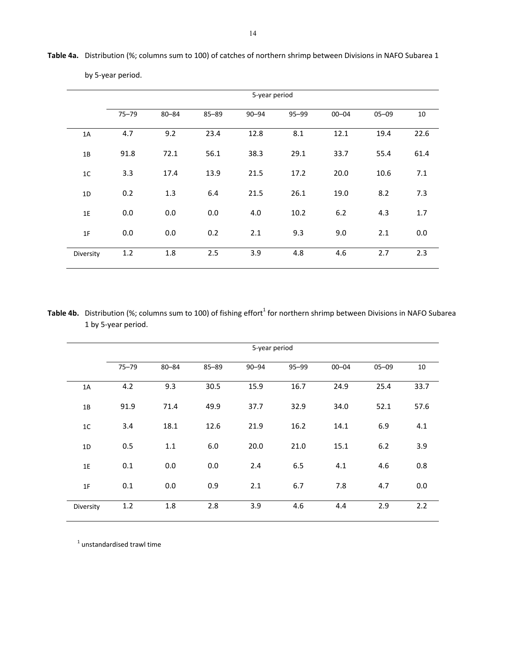|                |           |           |           | 5-year period |       |           |           |      |
|----------------|-----------|-----------|-----------|---------------|-------|-----------|-----------|------|
|                | $75 - 79$ | $80 - 84$ | $85 - 89$ | $90 - 94$     | 95-99 | $00 - 04$ | $05 - 09$ | 10   |
| 1A             | 4.7       | 9.2       | 23.4      | 12.8          | 8.1   | 12.1      | 19.4      | 22.6 |
| 1B             | 91.8      | 72.1      | 56.1      | 38.3          | 29.1  | 33.7      | 55.4      | 61.4 |
| 1 <sup>C</sup> | 3.3       | 17.4      | 13.9      | 21.5          | 17.2  | 20.0      | 10.6      | 7.1  |
| 1D             | 0.2       | 1.3       | 6.4       | 21.5          | 26.1  | 19.0      | 8.2       | 7.3  |
| 1E             | 0.0       | 0.0       | 0.0       | 4.0           | 10.2  | $6.2$     | 4.3       | 1.7  |
| 1F             | 0.0       | 0.0       | 0.2       | 2.1           | 9.3   | 9.0       | 2.1       | 0.0  |
| Diversity      | 1.2       | 1.8       | 2.5       | 3.9           | 4.8   | 4.6       | 2.7       | 2.3  |

**Table 4a.** Distribution (%; columns sum to 100) of catches of northern shrimp between Divisions in NAFO Subarea 1

by 5‐year period.

Table 4b. Distribution (%; columns sum to 100) of fishing effort<sup>1</sup> for northern shrimp between Divisions in NAFO Subarea 1 by 5‐year period.

|                |           |           |           | 5-year period |       |           |           |      |
|----------------|-----------|-----------|-----------|---------------|-------|-----------|-----------|------|
|                | $75 - 79$ | $80 - 84$ | $85 - 89$ | $90 - 94$     | 95-99 | $00 - 04$ | $05 - 09$ | 10   |
| 1A             | 4.2       | 9.3       | 30.5      | 15.9          | 16.7  | 24.9      | 25.4      | 33.7 |
| 1B             | 91.9      | 71.4      | 49.9      | 37.7          | 32.9  | 34.0      | 52.1      | 57.6 |
| 1 <sup>C</sup> | 3.4       | 18.1      | 12.6      | 21.9          | 16.2  | 14.1      | 6.9       | 4.1  |
| 1D             | 0.5       | $1.1\,$   | 6.0       | 20.0          | 21.0  | 15.1      | $6.2$     | 3.9  |
| 1E             | 0.1       | 0.0       | 0.0       | 2.4           | 6.5   | 4.1       | 4.6       | 0.8  |
| 1F             | 0.1       | 0.0       | 0.9       | 2.1           | 6.7   | 7.8       | 4.7       | 0.0  |
| Diversity      | 1.2       | 1.8       | 2.8       | 3.9           | 4.6   | 4.4       | 2.9       | 2.2  |

 $1$  unstandardised trawl time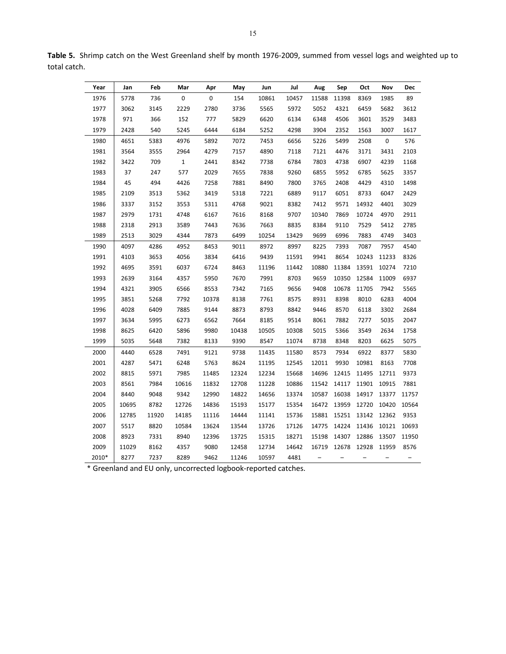| Year  | Jan   | Feb   | Mar   | Apr   | May   | Jun   | Jul   | Aug   | Sep   | Oct   | Nov              | Dec   |
|-------|-------|-------|-------|-------|-------|-------|-------|-------|-------|-------|------------------|-------|
| 1976  | 5778  | 736   | 0     | 0     | 154   | 10861 | 10457 | 11588 | 11398 | 8369  | 1985             | 89    |
| 1977  | 3062  | 3145  | 2229  | 2780  | 3736  | 5565  | 5972  | 5052  | 4321  | 6459  | 5682             | 3612  |
| 1978  | 971   | 366   | 152   | 777   | 5829  | 6620  | 6134  | 6348  | 4506  | 3601  | 3529             | 3483  |
| 1979  | 2428  | 540   | 5245  | 6444  | 6184  | 5252  | 4298  | 3904  | 2352  | 1563  | 3007             | 1617  |
| 1980  | 4651  | 5383  | 4976  | 5892  | 7072  | 7453  | 6656  | 5226  | 5499  | 2508  | $\boldsymbol{0}$ | 576   |
| 1981  | 3564  | 3555  | 2964  | 4279  | 7157  | 4890  | 7118  | 7121  | 4476  | 3171  | 3431             | 2103  |
| 1982  | 3422  | 709   | $1\,$ | 2441  | 8342  | 7738  | 6784  | 7803  | 4738  | 6907  | 4239             | 1168  |
| 1983  | 37    | 247   | 577   | 2029  | 7655  | 7838  | 9260  | 6855  | 5952  | 6785  | 5625             | 3357  |
| 1984  | 45    | 494   | 4426  | 7258  | 7881  | 8490  | 7800  | 3765  | 2408  | 4429  | 4310             | 1498  |
| 1985  | 2109  | 3513  | 5362  | 3419  | 5318  | 7221  | 6889  | 9117  | 6051  | 8733  | 6047             | 2429  |
| 1986  | 3337  | 3152  | 3553  | 5311  | 4768  | 9021  | 8382  | 7412  | 9571  | 14932 | 4401             | 3029  |
| 1987  | 2979  | 1731  | 4748  | 6167  | 7616  | 8168  | 9707  | 10340 | 7869  | 10724 | 4970             | 2911  |
| 1988  | 2318  | 2913  | 3589  | 7443  | 7636  | 7663  | 8835  | 8384  | 9110  | 7529  | 5412             | 2785  |
| 1989  | 2513  | 3029  | 4344  | 7873  | 6499  | 10254 | 13429 | 9699  | 6996  | 7883  | 4749             | 3403  |
| 1990  | 4097  | 4286  | 4952  | 8453  | 9011  | 8972  | 8997  | 8225  | 7393  | 7087  | 7957             | 4540  |
| 1991  | 4103  | 3653  | 4056  | 3834  | 6416  | 9439  | 11591 | 9941  | 8654  | 10243 | 11233            | 8326  |
| 1992  | 4695  | 3591  | 6037  | 6724  | 8463  | 11196 | 11442 | 10880 | 11384 | 13591 | 10274            | 7210  |
| 1993  | 2639  | 3164  | 4357  | 5950  | 7670  | 7991  | 8703  | 9659  | 10350 | 12584 | 11009            | 6937  |
| 1994  | 4321  | 3905  | 6566  | 8553  | 7342  | 7165  | 9656  | 9408  | 10678 | 11705 | 7942             | 5565  |
| 1995  | 3851  | 5268  | 7792  | 10378 | 8138  | 7761  | 8575  | 8931  | 8398  | 8010  | 6283             | 4004  |
| 1996  | 4028  | 6409  | 7885  | 9144  | 8873  | 8793  | 8842  | 9446  | 8570  | 6118  | 3302             | 2684  |
| 1997  | 3634  | 5995  | 6273  | 6562  | 7664  | 8185  | 9514  | 8061  | 7882  | 7277  | 5035             | 2047  |
| 1998  | 8625  | 6420  | 5896  | 9980  | 10438 | 10505 | 10308 | 5015  | 5366  | 3549  | 2634             | 1758  |
| 1999  | 5035  | 5648  | 7382  | 8133  | 9390  | 8547  | 11074 | 8738  | 8348  | 8203  | 6625             | 5075  |
| 2000  | 4440  | 6528  | 7491  | 9121  | 9738  | 11435 | 11580 | 8573  | 7934  | 6922  | 8377             | 5830  |
| 2001  | 4287  | 5471  | 6248  | 5763  | 8624  | 11195 | 12545 | 12011 | 9930  | 10981 | 8163             | 7708  |
| 2002  | 8815  | 5971  | 7985  | 11485 | 12324 | 12234 | 15668 | 14696 | 12415 | 11495 | 12711            | 9373  |
| 2003  | 8561  | 7984  | 10616 | 11832 | 12708 | 11228 | 10886 | 11542 | 14117 | 11901 | 10915            | 7881  |
| 2004  | 8440  | 9048  | 9342  | 12990 | 14822 | 14656 | 13374 | 10587 | 16038 | 14917 | 13377            | 11757 |
| 2005  | 10695 | 8782  | 12726 | 14836 | 15193 | 15177 | 15354 | 16472 | 13959 | 12720 | 10420            | 10564 |
| 2006  | 12785 | 11920 | 14185 | 11116 | 14444 | 11141 | 15736 | 15881 | 15251 | 13142 | 12362            | 9353  |
| 2007  | 5517  | 8820  | 10584 | 13624 | 13544 | 13726 | 17126 | 14775 | 14224 | 11436 | 10121            | 10693 |
| 2008  | 8923  | 7331  | 8940  | 12396 | 13725 | 15315 | 18271 | 15198 | 14307 | 12886 | 13507            | 11950 |
| 2009  | 11029 | 8162  | 4357  | 9080  | 12458 | 12734 | 14642 | 16719 | 12678 | 12928 | 11959            | 8576  |
| 2010* | 8277  | 7237  | 8289  | 9462  | 11246 | 10597 | 4481  |       |       |       |                  |       |

**Table 5.** Shrimp catch on the West Greenland shelf by month 1976‐2009, summed from vessel logs and weighted up to total catch.

\* Greenland and EU only, uncorrected logbook‐reported catches.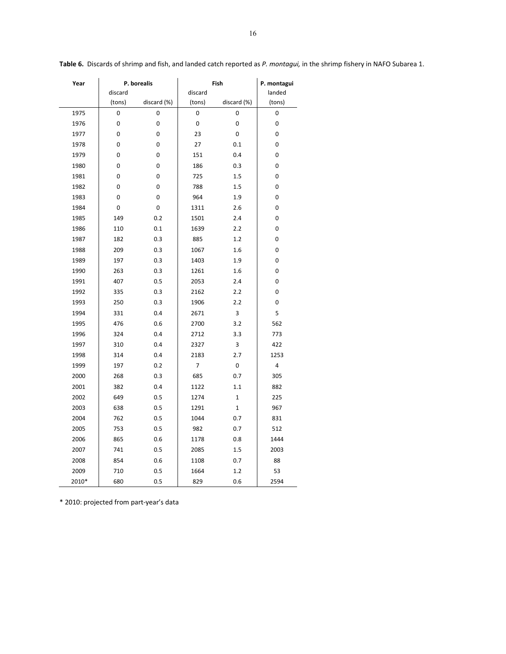| Year  |             | P. borealis |         | Fish         | P. montagui |
|-------|-------------|-------------|---------|--------------|-------------|
|       | discard     |             | discard |              | landed      |
|       | (tons)      | discard (%) | (tons)  | discard (%)  | (tons)      |
| 1975  | 0           | 0           | 0       | 0            | 0           |
| 1976  | 0           | 0           | 0       | 0            | 0           |
| 1977  | 0           | 0           | 23      | 0            | 0           |
| 1978  | 0           | 0           | 27      | 0.1          | 0           |
| 1979  | 0           | 0           | 151     | 0.4          | 0           |
| 1980  | $\mathbf 0$ | 0           | 186     | 0.3          | 0           |
| 1981  | 0           | 0           | 725     | 1.5          | 0           |
| 1982  | $\mathbf 0$ | 0           | 788     | 1.5          | 0           |
| 1983  | $\mathbf 0$ | 0           | 964     | 1.9          | 0           |
| 1984  | 0           | 0           | 1311    | 2.6          | 0           |
| 1985  | 149         | 0.2         | 1501    | 2.4          | 0           |
| 1986  | 110         | 0.1         | 1639    | 2.2          | 0           |
| 1987  | 182         | 0.3         | 885     | 1.2          | 0           |
| 1988  | 209         | 0.3         | 1067    | 1.6          | 0           |
| 1989  | 197         | 0.3         | 1403    | 1.9          | 0           |
| 1990  | 263         | 0.3         | 1261    | 1.6          | 0           |
| 1991  | 407         | 0.5         | 2053    | 2.4          | 0           |
| 1992  | 335         | 0.3         | 2162    | 2.2          | 0           |
| 1993  | 250         | 0.3         | 1906    | 2.2          | 0           |
| 1994  | 331         | 0.4         | 2671    | 3            | 5           |
| 1995  | 476         | 0.6         | 2700    | 3.2          | 562         |
| 1996  | 324         | 0.4         | 2712    | 3.3          | 773         |
| 1997  | 310         | 0.4         | 2327    | 3            | 422         |
| 1998  | 314         | 0.4         | 2183    | 2.7          | 1253        |
| 1999  | 197         | 0.2         | 7       | 0            | 4           |
| 2000  | 268         | 0.3         | 685     | 0.7          | 305         |
| 2001  | 382         | 0.4         | 1122    | 1.1          | 882         |
| 2002  | 649         | 0.5         | 1274    | $\mathbf{1}$ | 225         |
| 2003  | 638         | 0.5         | 1291    | 1            | 967         |
| 2004  | 762         | 0.5         | 1044    | 0.7          | 831         |
| 2005  | 753         | 0.5         | 982     | 0.7          | 512         |
| 2006  | 865         | 0.6         | 1178    | 0.8          | 1444        |
| 2007  | 741         | 0.5         | 2085    | 1.5          | 2003        |
| 2008  | 854         | 0.6         | 1108    | 0.7          | 88          |
| 2009  | 710         | 0.5         | 1664    | 1.2          | 53          |
| 2010* | 680         | 0.5         | 829     | 0.6          | 2594        |

**Table 6.** Discards of shrimp and fish, and landed catch reported as *P. montagui,* in the shrimp fishery in NAFO Subarea 1.

\* 2010: projected from part‐year's data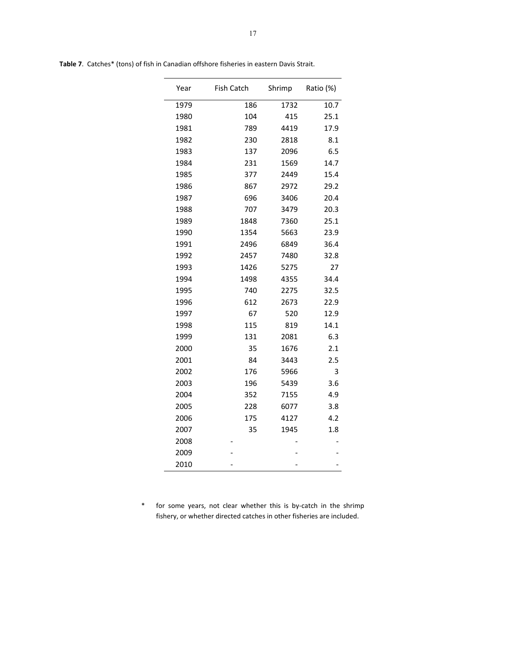| Year | <b>Fish Catch</b> | Shrimp | Ratio (%) |
|------|-------------------|--------|-----------|
| 1979 | 186               | 1732   | 10.7      |
| 1980 | 104               | 415    | 25.1      |
| 1981 | 789               | 4419   | 17.9      |
| 1982 | 230               | 2818   | 8.1       |
| 1983 | 137               | 2096   | 6.5       |
| 1984 | 231               | 1569   | 14.7      |
| 1985 | 377               | 2449   | 15.4      |
| 1986 | 867               | 2972   | 29.2      |
| 1987 | 696               | 3406   | 20.4      |
| 1988 | 707               | 3479   | 20.3      |
| 1989 | 1848              | 7360   | 25.1      |
| 1990 | 1354              | 5663   | 23.9      |
| 1991 | 2496              | 6849   | 36.4      |
| 1992 | 2457              | 7480   | 32.8      |
| 1993 | 1426              | 5275   | 27        |
| 1994 | 1498              | 4355   | 34.4      |
| 1995 | 740               | 2275   | 32.5      |
| 1996 | 612               | 2673   | 22.9      |
| 1997 | 67                | 520    | 12.9      |
| 1998 | 115               | 819    | 14.1      |
| 1999 | 131               | 2081   | 6.3       |
| 2000 | 35                | 1676   | 2.1       |
| 2001 | 84                | 3443   | 2.5       |
| 2002 | 176               | 5966   | 3         |
| 2003 | 196               | 5439   | 3.6       |
| 2004 | 352               | 7155   | 4.9       |
| 2005 | 228               | 6077   | 3.8       |
| 2006 | 175               | 4127   | 4.2       |
| 2007 | 35                | 1945   | 1.8       |
| 2008 |                   |        |           |
| 2009 |                   |        |           |
| 2010 |                   |        |           |

**Table 7**. Catches\* (tons) of fish in Canadian offshore fisheries in eastern Davis Strait.

\* for some years, not clear whether this is by‐catch in the shrimp fishery, or whether directed catches in other fisheries are included.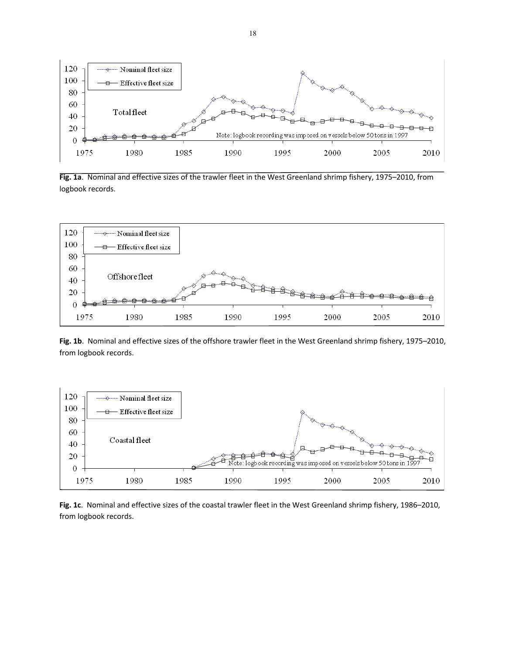

**Fig. 1a**. Nominal and effective sizes of the trawler fleet in the West Greenland shrimp fishery, 1975–2010, from logbook records.



**Fig. 1b**. Nominal and effective sizes of the offshore trawler fleet in the West Greenland shrimp fishery, 1975–2010, from logbook records.



**Fig. 1c**. Nominal and effective sizes of the coastal trawler fleet in the West Greenland shrimp fishery, 1986–2010, from logbook records.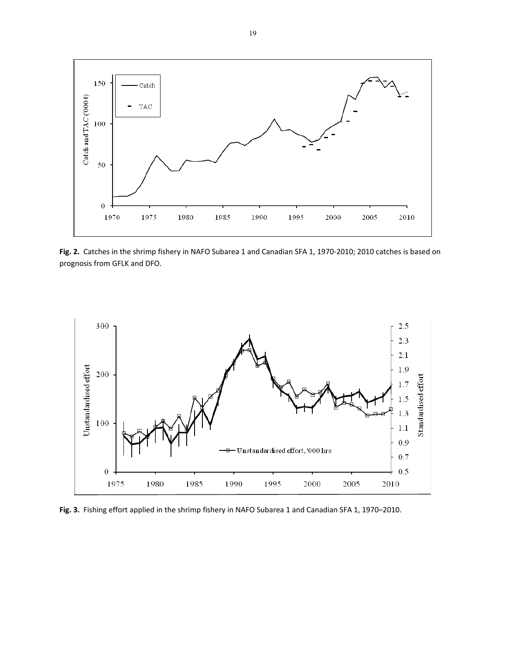

**Fig. 2.** Catches in the shrimp fishery in NAFO Subarea 1 and Canadian SFA 1, 1970‐2010; 2010 catches is based on prognosis from GFLK and DFO.



**Fig. 3.** Fishing effort applied in the shrimp fishery in NAFO Subarea 1 and Canadian SFA 1, 1970–2010.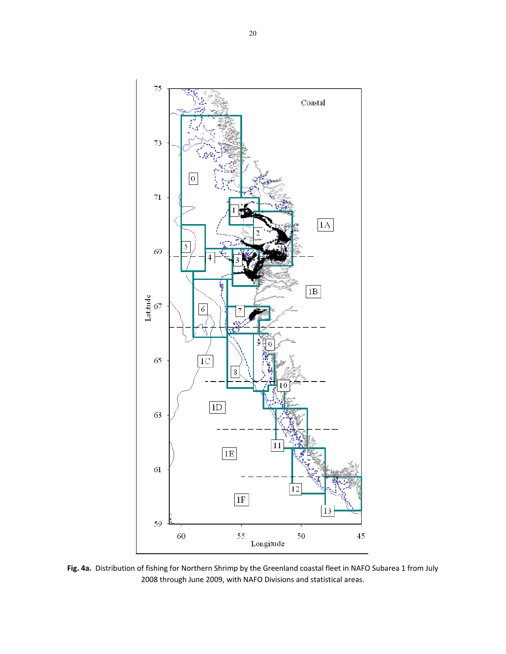

**Fig. 4a.** Distribution of fishing for Northern Shrimp by the Greenland coastal fleet in NAFO Subarea 1 from July through June 2009, with NAFO Divisions and statistical areas.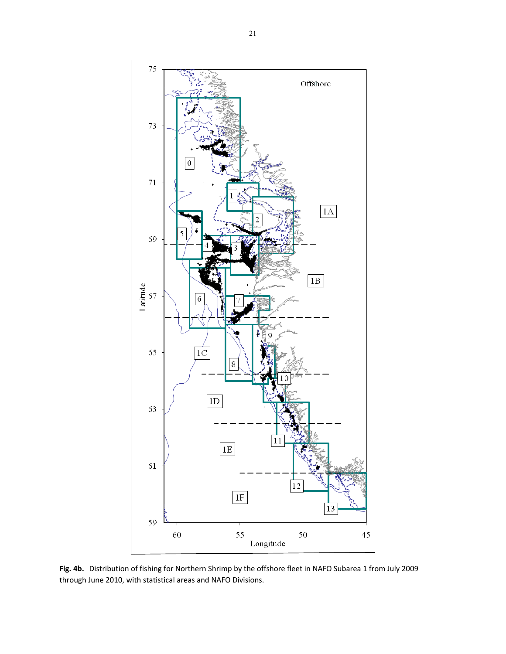

**Fig. 4b.** Distribution of fishing for Northern Shrimp by the offshore fleet in NAFO Subarea 1 from July 2009 through June 2010, with statistical areas and NAFO Divisions.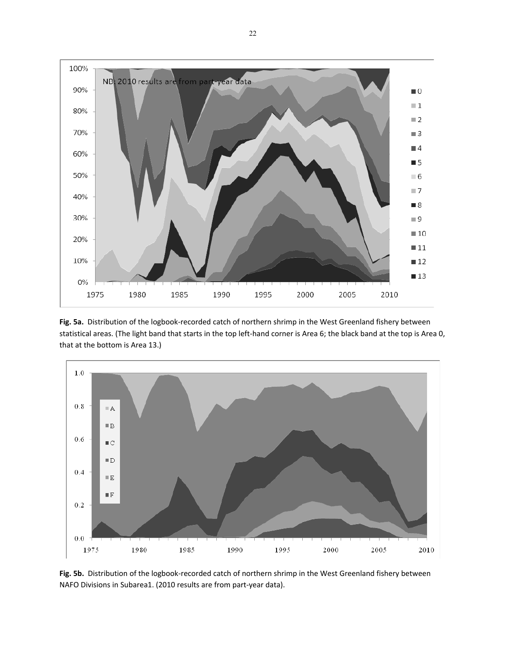

**Fig. 5a.** Distribution of the logbook‐recorded catch of northern shrimp in the West Greenland fishery between statistical areas. (The light band that starts in the top left-hand corner is Area 6; the black band at the top is Area 0, that at the bottom is Area 13.)



**Fig. 5b.** Distribution of the logbook‐recorded catch of northern shrimp in the West Greenland fishery between NAFO Divisions in Subarea1. (2010 results are from part‐year data).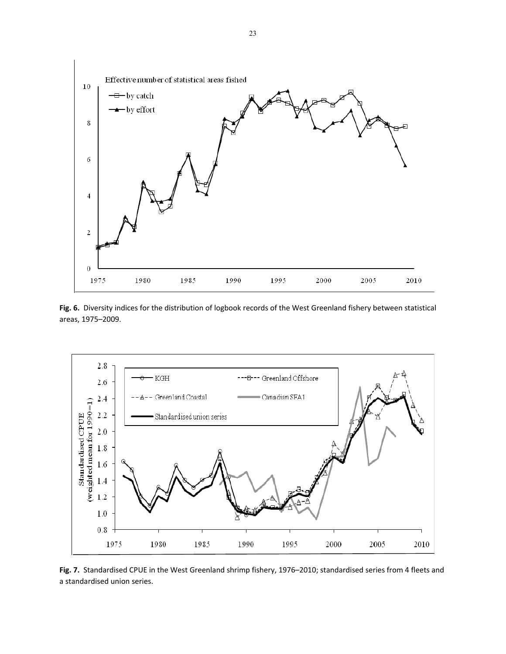

**Fig. 6.** Diversity indices for the distribution of logbook records of the West Greenland fishery between statistical areas, 1975–2009.



**Fig. 7.** Standardised CPUE in the West Greenland shrimp fishery, 1976–2010; standardised series from 4 fleets and a standardised union series.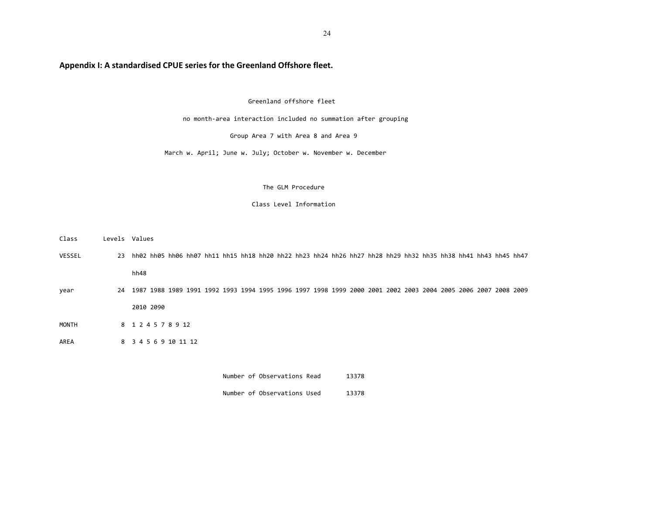# **Appendix I: A standardised CPUE series for the Greenland Offshore fleet.**

### Greenland offshore fleet

no month‐area interaction included no summation after grouping

Group Area 7 with Area 8 and Area 9

March w. April; June w. July; October w. November w. December

#### The GLM Procedure

#### Class Level Information

| Class        |    | Levels Values                                                                                                 |
|--------------|----|---------------------------------------------------------------------------------------------------------------|
| VESSEL       | 23 | hh02 hh05 hh06 hh07 hh11 hh15 hh18 hh20 hh22 hh23 hh24 hh26 hh27 hh28 hh29 hh32 hh35 hh38 hh41 hh43 hh45 hh47 |
|              |    | hh48                                                                                                          |
| year         | 24 | 1987 1988 1989 1991 1992 1993 1994 1995 1996 1997 1998 1999 2000 2001 2002 2003 2004 2005 2006 2007 2008 2009 |
|              |    | 2010 2090                                                                                                     |
| <b>MONTH</b> |    | 8 1 2 4 5 7 8 9 12                                                                                            |
| AREA         |    | 8 3 4 5 6 9 10 11 12                                                                                          |
|              |    |                                                                                                               |

Number of Observations Used 13378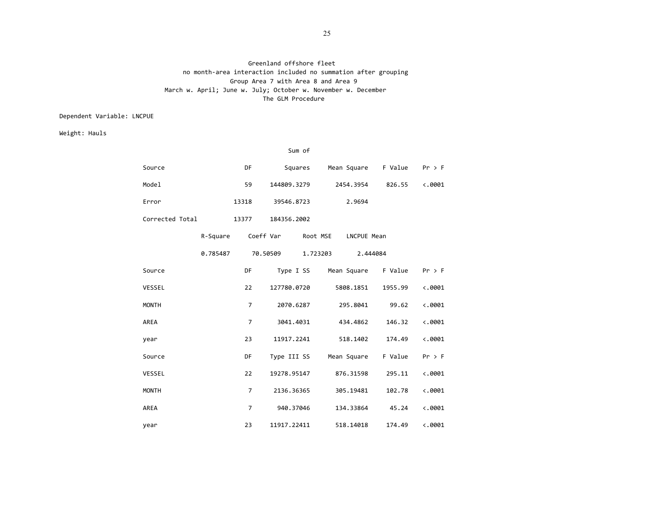### Greenland offshore fleet no month‐area interaction included no summation after grouping Group Area 7 with Area 8 and Area 9 March w. April; June w. July; October w. November w. December The GLM Procedure

## Dependent Variable: LNCPUE

Weight: Hauls

|                 |          |                | Sum of                  |          |             |                               |                 |
|-----------------|----------|----------------|-------------------------|----------|-------------|-------------------------------|-----------------|
| Source          |          | <b>DF</b>      |                         |          |             | Squares Mean Square F Value   | $Pr$ > F        |
| Model           |          | 59             | 144809.3279             |          | 2454.3954   | 826.55                        | $\langle .0001$ |
| Error           |          | 13318          | 39546.8723              |          | 2.9694      |                               |                 |
| Corrected Total |          | 13377          | 184356.2002             |          |             |                               |                 |
|                 | R-Square |                | Coeff Var Root MSE      |          | LNCPUE Mean |                               |                 |
|                 | 0.785487 |                | 70.50509                | 1.723203 |             | 2.444084                      |                 |
| Source          |          | <b>DF</b>      |                         |          |             | Type I SS Mean Square F Value | $Pr$ > F        |
| VESSEL          |          | 22             | 127780.0720             |          | 5808.1851   | 1955.99                       | $\langle .0001$ |
| <b>MONTH</b>    |          | $\overline{7}$ | 2070.6287               |          | 295.8041    | 99.62                         | $\langle .0001$ |
| AREA            |          | $\overline{7}$ | 3041.4031               |          | 434.4862    | 146.32                        | $\ddotsc 0001$  |
| year            |          | 23             | 11917.2241              |          | 518.1402    | 174.49                        | $\ddotsc 0001$  |
| Source          |          | DF             | Type III SS Mean Square |          |             | F Value                       | $Pr$ > F        |
| VESSEL          |          | 22             | 19278.95147             |          | 876.31598   | 295.11                        | $\langle .0001$ |
| <b>MONTH</b>    |          | $\overline{7}$ | 2136.36365              |          | 305.19481   | 102.78                        | $\langle .0001$ |
| AREA            |          | $\overline{7}$ | 940.37046               |          | 134.33864   | 45.24                         | $\langle .0001$ |
| year            |          | 23             | 11917.22411             |          | 518.14018   | 174.49                        | $\langle .0001$ |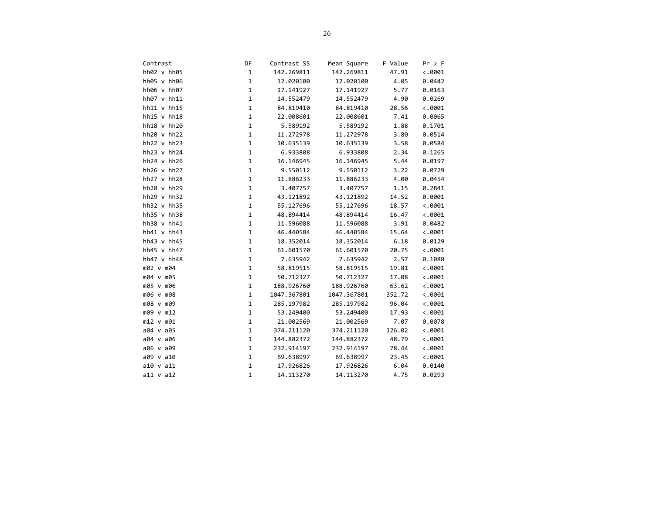| Contrast        | DF           | Contrast SS | Mean Square | F Value | $Pr$ > F        |
|-----------------|--------------|-------------|-------------|---------|-----------------|
| hh02 v hh05     | $\mathbf 1$  | 142.269811  | 142.269811  | 47.91   | $\ddotsc 0001$  |
| hh05 v hh06     | $\mathbf 1$  | 12.020100   | 12.020100   | 4.05    | 0.0442          |
| hh06 v hh07     | $\mathbf 1$  | 17.141927   | 17.141927   | 5.77    | 0.0163          |
| hh07 v hh11     | $\mathbf 1$  | 14.552479   | 14.552479   | 4.90    | 0.0269          |
| hh11 v hh15     | $\mathbf{1}$ | 84.819410   | 84.819410   | 28.56   | $\langle .0001$ |
| hh15 v hh18     | $\mathbf 1$  | 22.008601   | 22.008601   | 7.41    | 0.0065          |
| hh18 v hh20     | $\mathbf 1$  | 5.589192    | 5.589192    | 1.88    | 0.1701          |
| hh20 v hh22     | $\mathbf 1$  | 11.272978   | 11.272978   | 3.80    | 0.0514          |
| $hh22$ v $hh23$ | $\mathbf{1}$ | 10.635139   | 10.635139   | 3.58    | 0.0584          |
| $hh23$ v $hh24$ | $\mathbf{1}$ | 6.933808    | 6.933808    | 2.34    | 0.1265          |
| $hh24$ v $hh26$ | $\mathbf{1}$ | 16.146945   | 16.146945   | 5.44    | 0.0197          |
| hh26 v hh27     | $\mathbf{1}$ | 9.550112    | 9.550112    | 3.22    | 0.0729          |
| $hh27$ v $hh28$ | $\mathbf{1}$ | 11.886233   | 11.886233   | 4.00    | 0.0454          |
| hh28 v hh29     | $\mathbf 1$  | 3.407757    | 3.407757    | 1.15    | 0.2841          |
| $hh29$ v $hh32$ | $\mathbf 1$  | 43.121892   | 43.121892   | 14.52   | 0.0001          |
| $hh32$ v $hh35$ | $\mathbf 1$  | 55.127696   | 55.127696   | 18.57   | $\ddotsc 0001$  |
| $hh35$ v $hh38$ | $\mathbf 1$  | 48.894414   | 48.894414   | 16.47   | $\ddotsc 0001$  |
| hh38 v hh41     | $\mathbf 1$  | 11.596088   | 11.596088   | 3.91    | 0.0482          |
| $hh41$ v $hh43$ | $\mathbf 1$  | 46.440584   | 46.440584   | 15.64   | $\langle .0001$ |
| $hh43$ v $hh45$ | $\mathbf 1$  | 18.352014   | 18.352014   | 6.18    | 0.0129          |
| hh45 v hh47     | $\mathbf 1$  | 61.601570   | 61.601570   | 20.75   | $\langle .0001$ |
| hh47 v hh48     | $\mathbf 1$  | 7.635942    | 7.635942    | 2.57    | 0.1088          |
| m02 v m04       | $\mathbf 1$  | 58.819515   | 58.819515   | 19.81   | $\langle .0001$ |
| m04 v m05       | $\mathbf 1$  | 50.712327   | 50.712327   | 17.08   | $\ddotsc 0001$  |
| m05 v m06       | $\mathbf{1}$ | 188.926760  | 188.926760  | 63.62   | $\langle .0001$ |
| m06 v m08       | $\mathbf 1$  | 1047.367801 | 1047.367801 | 352.72  | $\langle .0001$ |
| m08 v m09       | $\mathbf 1$  | 285.197982  | 285.197982  | 96.04   | $\langle .0001$ |
| m09 v m12       | $\mathbf 1$  | 53.249400   | 53.249400   | 17.93   | $\langle .0001$ |
| m12 v m01       | $\mathbf 1$  | 21.002569   | 21.002569   | 7.07    | 0.0078          |
| a04 v a05       | $\mathbf 1$  | 374.211120  | 374.211120  | 126.02  | $\langle .0001$ |
| a04 v a06       | $\mathbf{1}$ | 144.882372  | 144.882372  | 48.79   | $\langle .0001$ |
| a06 v a09       | $\mathbf 1$  | 232.914197  | 232.914197  | 78.44   | $\langle .0001$ |
| a09 v a10       | $\mathbf{1}$ | 69.638997   | 69.638997   | 23.45   | $\ddotsc 0001$  |
| $a10$ v $a11$   | $\mathbf{1}$ | 17.926826   | 17.926826   | 6.04    | 0.0140          |
| $a11 \vee a12$  | $\mathbf{1}$ | 14.113270   | 14.113270   | 4.75    | 0.0293          |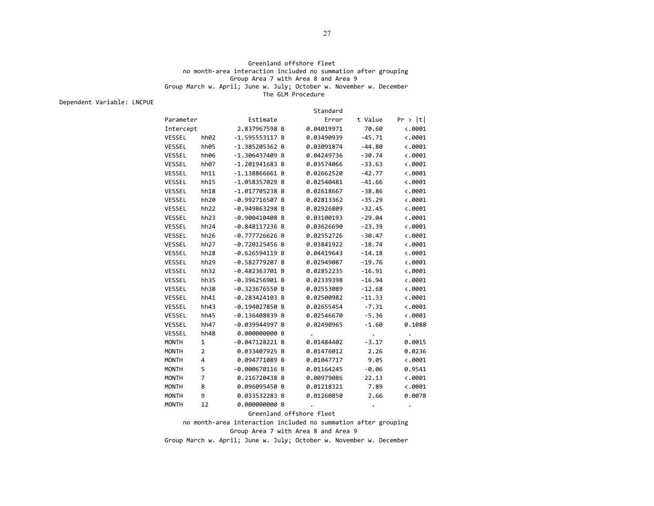### Greenland offshore fleet no month‐area interaction included no summation after grouping Group Area 7 with Area 8 and Area 9 Group March w. April; June w. July; October w. November w. December The GLM Procedure

Dependent Variable: LNCPUE

Standard

| Parameter    |                  | Estimate         | Error      | t Value  | Pr >  t         |
|--------------|------------------|------------------|------------|----------|-----------------|
| Intercept    |                  | 2.837967598 B    | 0.04019971 | 70.60    | $\langle .0001$ |
| VESSEL       | hh <sub>02</sub> | $-1.595553117 B$ | 0.03490939 | $-45.71$ | $\langle .0001$ |
| VESSEL       | hh05             | -1.385205362 B   | 0.03091874 | $-44.80$ | $\langle .0001$ |
| VESSEL       | hh06             | -1.306437409 B   | 0.04249736 | $-30.74$ | $\langle .0001$ |
| VESSEL       | hh07             | $-1.201941683$ B | 0.03574066 | $-33.63$ | $\langle .0001$ |
| VESSEL       | hh11             | $-1.138866661$ B | 0.02662520 | $-42.77$ | $\langle .0001$ |
| VESSEL       | hh15             | -1.058357029 B   | 0.02540481 | $-41.66$ | $\langle .0001$ |
| VESSEL       | hh18             | -1.017705238 B   | 0.02618667 | $-38.86$ | $\langle .0001$ |
| VESSEL       | hh20             | -0.992716507 B   | 0.02813362 | $-35.29$ | $\langle .0001$ |
| VESSEL       | hh <sub>22</sub> | -0.949863298 B   | 0.02926809 | $-32.45$ | $\langle .0001$ |
| VESSEL       | hh23             | $-0.900410408$ B | 0.03100193 | $-29.04$ | $\langle .0001$ |
| VESSEL       | hh <sub>24</sub> | -0.848117236 B   | 0.03626690 | $-23.39$ | $\langle .0001$ |
| VESSEL       | hh <sub>26</sub> | $-0.777726626 B$ | 0.02552726 | $-30.47$ | $\langle .0001$ |
| VESSEL       | hh <sub>27</sub> | -0.720125456 B   | 0.03841922 | $-18.74$ | $\langle .0001$ |
| VESSEL       | hh <sub>28</sub> | $-0.626594119$ B | 0.04419643 | $-14.18$ | $\langle .0001$ |
| VESSEL       | hh <sub>29</sub> | -0.582779207 B   | 0.02949087 | $-19.76$ | $\langle .0001$ |
| VESSEL       | hh32             | -0.482363701 B   | 0.02852235 | $-16.91$ | $\langle .0001$ |
| VESSEL       | hh35             | $-0.396256901$ B | 0.02339398 | $-16.94$ | $\langle .0001$ |
| VESSEL       | hh38             | -0.323676550 B   | 0.02553089 | $-12.68$ | $\langle .0001$ |
| VESSEL       | hh41             | $-0.283424103$ B | 0.02500982 | $-11.33$ | $\langle .0001$ |
| VESSEL       | hh43             | $-0.194027850$ B | 0.02655454 | $-7.31$  | $\langle .0001$ |
| VESSEL       | hh45             | $-0.136408839$ B | 0.02546670 | $-5.36$  | $\langle .0001$ |
| VESSEL       | hh47             | -0.039944997 B   | 0.02490965 | $-1.60$  | 0.1088          |
| VESSEL       | hh48             | 0.000000000 B    | $\cdot$    |          | $\bullet$       |
| <b>MONTH</b> | $\mathbf 1$      | $-0.047128221$ B | 0.01484402 | $-3.17$  | 0.0015          |
| <b>MONTH</b> | $\overline{2}$   | 0.033407925 B    | 0.01476012 | 2.26     | 0.0236          |
| <b>MONTH</b> | 4                | 0.094771089 B    | 0.01047717 | 9.05     | $\langle .0001$ |
| <b>MONTH</b> | 5                | $-0.000670116$ B | 0.01164245 | $-0.06$  | 0.9541          |
| <b>MONTH</b> | $\overline{7}$   | 0.216720438 B    | 0.00979086 | 22.13    | $\langle .0001$ |
| <b>MONTH</b> | 8                | 0.096095450 B    | 0.01218321 | 7.89     | $\ddotsc 0001$  |
| <b>MONTH</b> | 9                | 0.033532283 B    | 0.01260850 | 2.66     | 0.0078          |
| <b>MONTH</b> | 12               | 0.000000000 B    |            |          |                 |

#### Greenland offshore fleet

no month‐area interaction included no summation after grouping

Group Area 7 with Area 8 and Area 9

Group March w. April; June w. July; October w. November w. December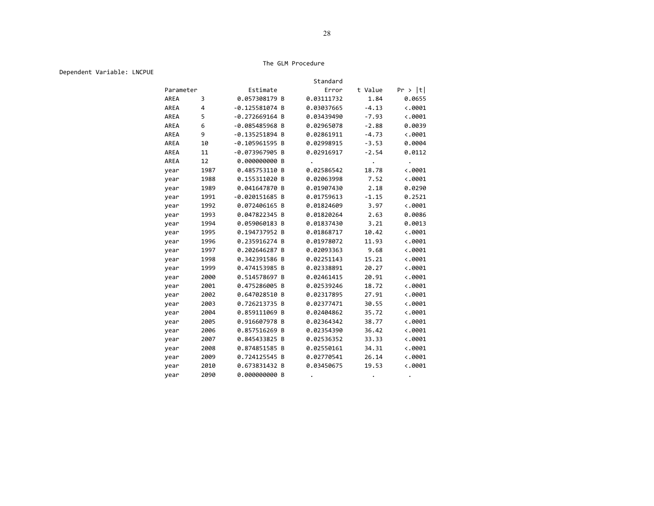#### The GLM Procedure

Dependent Variable: LNCPUE

|             |      |                  | Standard   |         |                 |
|-------------|------|------------------|------------|---------|-----------------|
| Parameter   |      | Estimate         | Error      | t Value | Pr >  t         |
| <b>AREA</b> | 3    | 0.057308179 B    | 0.03111732 | 1.84    | 0.0655          |
| AREA        | 4    | $-0.125581074$ B | 0.03037665 | $-4.13$ | $\langle .0001$ |
| AREA        | 5    | $-0.272669164 B$ | 0.03439490 | $-7.93$ | $\langle .0001$ |
| AREA        | 6    | $-0.085485968$ B | 0.02965078 | $-2.88$ | 0.0039          |
| AREA        | 9    | $-0.135251894$ B | 0.02861911 | $-4.73$ | $\langle .0001$ |
| AREA        | 10   | $-0.105961595$ B | 0.02998915 | $-3.53$ | 0.0004          |
| AREA        | 11   | $-0.073967905 B$ | 0.02916917 | $-2.54$ | 0.0112          |
| AREA        | 12   | 0.000000000 B    |            |         |                 |
| year        | 1987 | 0.485753110 B    | 0.02586542 | 18.78   | $\langle .0001$ |
| year        | 1988 | 0.155311020 B    | 0.02063998 | 7.52    | $\langle .0001$ |
| year        | 1989 | 0.041647870 B    | 0.01907430 | 2.18    | 0.0290          |
| year        | 1991 | $-0.020151685$ B | 0.01759613 | $-1.15$ | 0.2521          |
| year        | 1992 | 0.072406165 B    | 0.01824609 | 3.97    | $\langle .0001$ |
| year        | 1993 | 0.047822345 B    | 0.01820264 | 2.63    | 0.0086          |
| year        | 1994 | 0.059060183 B    | 0.01837430 | 3.21    | 0.0013          |
| year        | 1995 | 0.194737952 B    | 0.01868717 | 10.42   | $\ddotsc 0001$  |
| year        | 1996 | 0.235916274 B    | 0.01978072 | 11.93   | $\langle .0001$ |
| year        | 1997 | 0.202646287 B    | 0.02093363 | 9.68    | $\langle .0001$ |
| year        | 1998 | 0.342391586 B    | 0.02251143 | 15.21   | $\langle .0001$ |
| year        | 1999 | 0.474153985 B    | 0.02338891 | 20.27   | $\langle .0001$ |
| year        | 2000 | 0.514578697 B    | 0.02461415 | 20.91   | $\langle .0001$ |
| year        | 2001 | 0.475286005 B    | 0.02539246 | 18.72   | $\ddotsc 0001$  |
| year        | 2002 | 0.647028510 B    | 0.02317895 | 27.91   | $\langle .0001$ |
| year        | 2003 | 0.726213735 B    | 0.02377471 | 30.55   | $\langle .0001$ |
| year        | 2004 | 0.859111069 B    | 0.02404862 | 35.72   | $\langle .0001$ |
| year        | 2005 | 0.916607978 B    | 0.02364342 | 38.77   | $\langle .0001$ |
| year        | 2006 | 0.857516269 B    | 0.02354390 | 36.42   | $\langle .0001$ |
| year        | 2007 | 0.845433825 B    | 0.02536352 | 33.33   | $\langle .0001$ |
| year        | 2008 | 0.874851585 B    | 0.02550161 | 34.31   | $\langle .0001$ |
| year        | 2009 | 0.724125545 B    | 0.02770541 | 26.14   | $\langle .0001$ |
| year        | 2010 | 0.673831432 B    | 0.03450675 | 19.53   | $\langle .0001$ |
| year        | 2090 | 0.000000000 B    |            |         | $\bullet$       |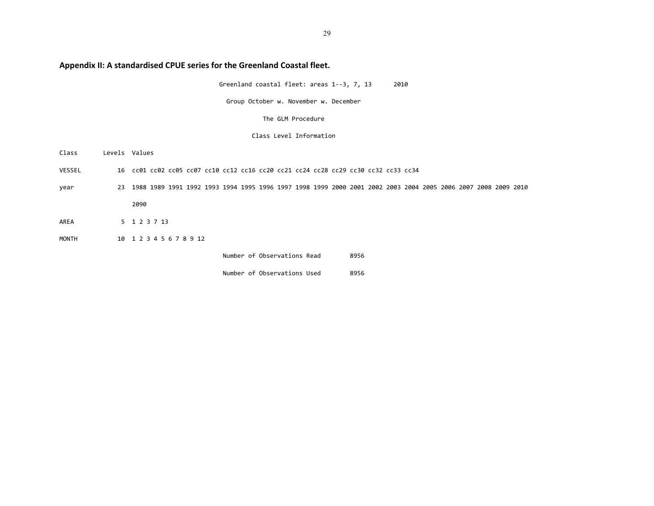# **Appendix II: A standardised CPUE series for the Greenland Coastal fleet.**

Greenland coastal fleet: areas 1‐‐3, 7, 13 2010

Group October w. November w. December

The GLM Procedure

### Class Level Information

Class Levels Values VESSEL 16 cc01 cc02 cc05 cc07 cc10 cc12 cc16 cc20 cc21 cc24 cc28 cc29 cc30 cc32 cc33 cc34 year 23 1988 1989 1991 1992 1993 1994 1995 1996 1997 1998 1999 2000 2001 2002 2003 2004 2005 2006 2007 2008 2009 2010 2090 AREA 5 1 2 3 7 13 MONTH 10 1 2 3 4 5 6 7 8 9 12 Number of Observations Read 8956

Number of Observations Used 8956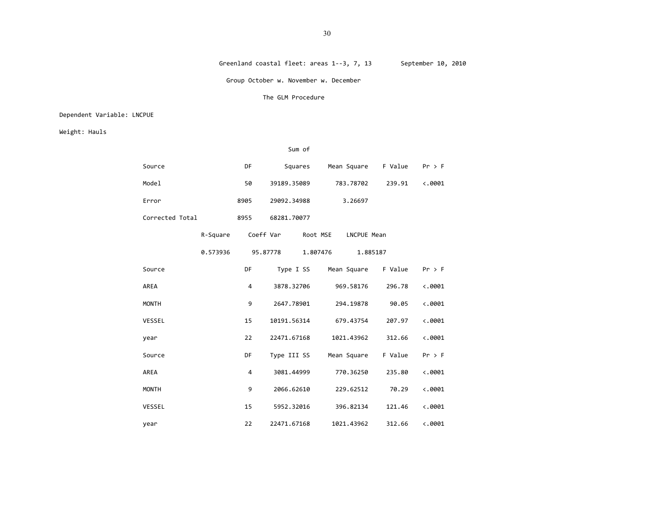#### Greenland coastal fleet: areas 1--3, 7, 13 September 10, 2010

Group October w. November w. December

#### The GLM Procedure

## Dependent Variable: LNCPUE

Weight: Hauls

|                 |          |           | Sum of      |                         |         |                 |
|-----------------|----------|-----------|-------------|-------------------------|---------|-----------------|
| Source          |          | DF        | Squares     | Mean Square F Value     |         | $Pr$ > F        |
| Model           |          | 50        | 39189.35089 | 783.78702               | 239.91  | $\langle .0001$ |
| Error           |          | 8905      | 29092.34988 | 3.26697                 |         |                 |
| Corrected Total |          | 8955      | 68281.70077 |                         |         |                 |
|                 | R-Square | Coeff Var |             | Root MSE<br>LNCPUE Mean |         |                 |
|                 | 0.573936 |           | 95.87778    | 1.807476<br>1.885187    |         |                 |
| Source          |          | DF        |             | Type I SS Mean Square   | F Value | $Pr$ > F        |
| AREA            |          | 4         | 3878.32706  | 969.58176               | 296.78  | $\langle .0001$ |
| <b>MONTH</b>    |          | 9         | 2647.78901  | 294.19878               | 90.05   | $\ddotsc 0001$  |
| VESSEL          |          | 15        | 10191.56314 | 679.43754               | 207.97  | $\ddotsc 0001$  |
| year            |          | 22        | 22471.67168 | 1021.43962              | 312.66  | $\ddotsc 0001$  |
| Source          |          | DF        | Type III SS | Mean Square             | F Value | $Pr$ > F        |
| AREA            |          | 4         | 3081.44999  | 770.36250               | 235.80  | $\ddotsc 0001$  |
| <b>MONTH</b>    |          | 9         | 2066.62610  | 229.62512               | 70.29   | $\ddotsc 0001$  |
| <b>VESSEL</b>   |          | 15        | 5952.32016  | 396.82134               | 121.46  | $\ddotsc 0001$  |
| year            |          | 22        | 22471.67168 | 1021.43962              | 312.66  | $\langle .0001$ |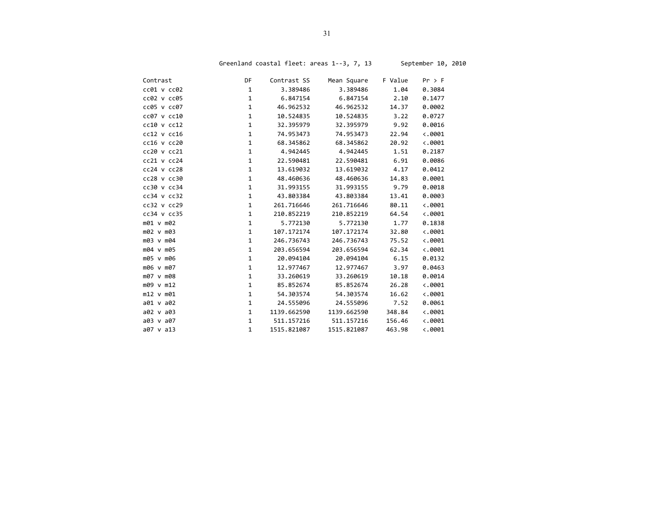| Contrast        | DF           | Contrast SS | Mean Square | F Value | Pr > F          |
|-----------------|--------------|-------------|-------------|---------|-----------------|
| cc01 v cc02     | $\mathbf{1}$ | 3.389486    | 3.389486    | 1.04    | 0.3084          |
| cc02 v cc05     | $\mathbf{1}$ | 6.847154    | 6.847154    | 2.10    | 0.1477          |
| cc05 v cc07     | $\mathbf{1}$ | 46.962532   | 46.962532   | 14.37   | 0.0002          |
| cc07 v cc10     | 1            | 10.524835   | 10.524835   | 3.22    | 0.0727          |
| cc10 v cc12     | $\mathbf 1$  | 32.395979   | 32.395979   | 9.92    | 0.0016          |
| $cc12$ v $cc16$ | $\mathbf 1$  | 74.953473   | 74.953473   | 22.94   | 0.0001          |
| cc16 v cc20     | $\mathbf 1$  | 68.345862   | 68.345862   | 20.92   | 0.0001          |
| cc20 v cc21     | $\mathbf{1}$ | 4.942445    | 4.942445    | 1.51    | 0.2187          |
| $cc21$ v $cc24$ | $\mathbf{1}$ | 22.590481   | 22.590481   | 6.91    | 0.0086          |
| $cc24$ v $cc28$ | $\mathbf{1}$ | 13.619032   | 13.619032   | 4.17    | 0.0412          |
| cc28 v cc30     | $\mathbf 1$  | 48.460636   | 48.460636   | 14.83   | 0.0001          |
| cc30 v cc34     | 1            | 31.993155   | 31.993155   | 9.79    | 0.0018          |
| cc34 v cc32     | $\mathbf 1$  | 43.803384   | 43.803384   | 13.41   | 0.0003          |
| $cc32$ v $cc29$ | $\mathbf 1$  | 261.716646  | 261.716646  | 80.11   | $\langle .0001$ |
| cc34 v cc35     | $\mathbf 1$  | 210.852219  | 210.852219  | 64.54   | $\ddotsc 0001$  |
| m01 v m02       | $\mathbf{1}$ | 5.772130    | 5.772130    | 1.77    | 0.1838          |
| m02 v m03       | $\mathbf 1$  | 107.172174  | 107.172174  | 32.80   | $\ddotsc 0001$  |
| m03 v m04       | $\mathbf{1}$ | 246.736743  | 246.736743  | 75.52   | $\langle .0001$ |
| m04 v m05       | $\mathbf 1$  | 203.656594  | 203.656594  | 62.34   | $\langle .0001$ |
| m05 v m06       | $\mathbf 1$  | 20.094104   | 20.094104   | 6.15    | 0.0132          |
| m06 v m07       | $\mathbf 1$  | 12.977467   | 12.977467   | 3.97    | 0.0463          |
| m07 v m08       | $\mathbf 1$  | 33.260619   | 33.260619   | 10.18   | 0.0014          |
| m09 v m12       | 1            | 85.852674   | 85.852674   | 26.28   | $\ddotsc 0001$  |
| m12 v m01       | $\mathbf 1$  | 54.303574   | 54.303574   | 16.62   | $\langle .0001$ |
| a01 v a02       | $\mathbf 1$  | 24.555096   | 24.555096   | 7.52    | 0.0061          |
| a02 v a03       | $\mathbf{1}$ | 1139.662590 | 1139.662590 | 348.84  | $\ddotsc 0001$  |
| a03 v a07       | $\mathbf{1}$ | 511.157216  | 511.157216  | 156.46  | $\langle .0001$ |
| $a07$ v $a13$   | 1            | 1515.821087 | 1515.821087 | 463.98  | $\langle .0001$ |

Greenland coastal fleet: areas 1--3, 7, 13 September 10, 2010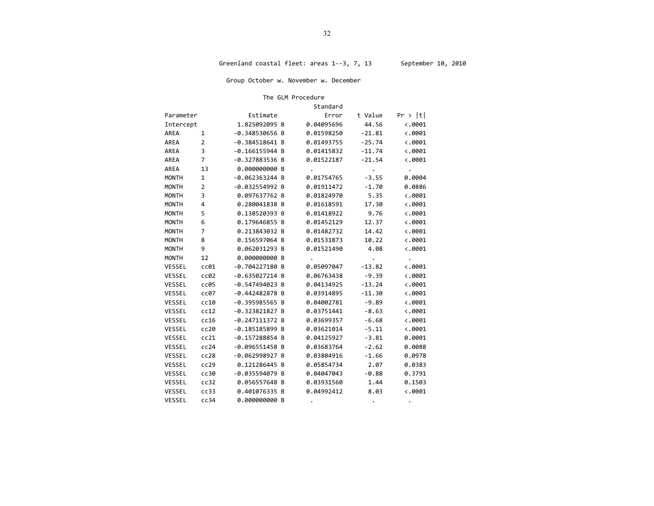Group October w. November w. December

#### The GLM Procedure

|              |                |                  |   | Standard   |          |                 |
|--------------|----------------|------------------|---|------------|----------|-----------------|
| Parameter    |                | Estimate         |   | Error      | t Value  | Pr >  t         |
| Intercept    |                | 1.825092095 B    |   | 0.04095696 | 44.56    | $\langle .0001$ |
| AREA         | 1              | -0.348530656     | В | 0.01598250 | $-21.81$ | $\langle .0001$ |
| AREA         | 2              | $-0.384518641$   | B | 0.01493755 | $-25.74$ | $\langle .0001$ |
| AREA         | 3              | $-0.166155944$   | В | 0.01415832 | $-11.74$ | $\langle .0001$ |
| AREA         | 7              | -0.327883536     | B | 0.01522187 | $-21.54$ | $\langle .0001$ |
| AREA         | 13             | 0.000000000 B    |   |            | ٠        | $\bullet$       |
| <b>MONTH</b> | $\mathbf{1}$   | $-0.062363244 B$ |   | 0.01754765 | $-3.55$  | 0.0004          |
| <b>MONTH</b> | $\overline{2}$ | -0.032554992 B   |   | 0.01911472 | $-1.70$  | 0.0886          |
| <b>MONTH</b> | 3              | 0.097637762 B    |   | 0.01824970 | 5.35     | $\langle .0001$ |
| <b>MONTH</b> | 4              | 0.280041838      | B | 0.01618591 | 17.30    | $\langle .0001$ |
| <b>MONTH</b> | 5              | 0.138520393      | B | 0.01418922 | 9.76     | $\langle .0001$ |
| <b>MONTH</b> | 6              | 0.179646855 B    |   | 0.01452129 | 12.37    | $-.0001$        |
| <b>MONTH</b> | $\overline{7}$ | 0.213843032 B    |   | 0.01482732 | 14.42    | $\langle .0001$ |
| <b>MONTH</b> | 8              | 0.156597064      | В | 0.01531873 | 10.22    | $\langle .0001$ |
| <b>MONTH</b> | 9              | 0.062031293      | B | 0.01521490 | 4.08     | $\langle .0001$ |
| <b>MONTH</b> | 12             | 0.000000000      | B |            |          |                 |
| VESSEL       | cc01           | -0.704227180 B   |   | 0.05097047 | $-13.82$ | $\langle .0001$ |
| VESSEL       | cc02           | $-0.635027214 B$ |   | 0.06763438 | $-9.39$  | $\langle .0001$ |
| VESSEL       | cc05           | -0.547494023     | B | 0.04134925 | $-13.24$ | $\langle .0001$ |
| VESSEL       | cc07           | $-0.442482878$ B |   | 0.03914895 | $-11.30$ | $-.0001$        |
| VESSEL       | cc10           | $-0.395985565$   | В | 0.04002781 | $-9.89$  | $-.0001$        |
| VESSEL       | cc12           | $-0.323821827$   | В | 0.03751441 | $-8.63$  | $-.0001$        |
| VESSEL       | cc16           | $-0.247111372$   | B | 0.03699357 | $-6.68$  | $\langle .0001$ |
| VESSEL       | cc20           | $-0.185185899$   | B | 0.03621014 | $-5.11$  | $\langle .0001$ |
| VESSEL       | cc21           | -0.157288854 B   |   | 0.04125927 | $-3.81$  | 0.0001          |
| VESSEL       | cc24           | $-0.096551458$ B |   | 0.03683764 | $-2.62$  | 0.0088          |
| VESSEL       | cc28           | $-0.062998927$   | в | 0.03804916 | $-1.66$  | 0.0978          |
| VESSEL       | cc29           | 0.121286445      | B | 0.05854734 | 2.07     | 0.0383          |
| VESSEL       | cc30           | -0.035594079     | B | 0.04047043 | $-0.88$  | 0.3791          |
| VESSEL       | cc32           | 0.056557648      | В | 0.03931560 | 1.44     | 0.1503          |
| VESSEL       | cc33           | 0.401076335      | В | 0.04992412 | 8.03     | $\langle .0001$ |
| VESSEL       | cc34           | 0.000000000      | B |            |          |                 |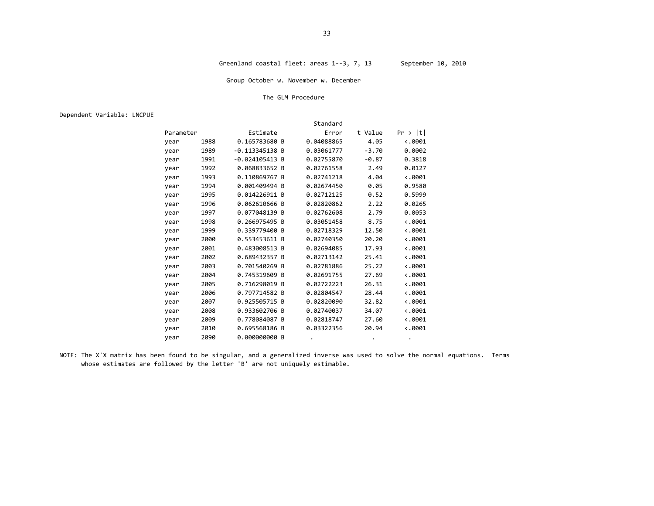### Group October w. November w. December

#### The GLM Procedure

Dependent Variable: LNCPUE

|           |      |                  | Standard   |         |                 |
|-----------|------|------------------|------------|---------|-----------------|
| Parameter |      | Estimate         | Error      | t Value | Pr >  t         |
| year      | 1988 | 0.165783680 B    | 0.04088865 | 4.05    | $\langle .0001$ |
| year      | 1989 | $-0.113345138$ B | 0.03061777 | $-3.70$ | 0.0002          |
| year      | 1991 | $-0.024105413$ B | 0.02755870 | $-0.87$ | 0.3818          |
| year      | 1992 | 0.068833652 B    | 0.02761558 | 2.49    | 0.0127          |
| year      | 1993 | 0.110869767 B    | 0.02741218 | 4.04    | $\langle .0001$ |
| year      | 1994 | 0.001409494 B    | 0.02674450 | 0.05    | 0.9580          |
| year      | 1995 | 0.014226911 B    | 0.02712125 | 0.52    | 0.5999          |
| year      | 1996 | 0.062610666 B    | 0.02820862 | 2.22    | 0.0265          |
| year      | 1997 | 0.077048139 B    | 0.02762608 | 2.79    | 0.0053          |
| year      | 1998 | 0.266975495 B    | 0.03051458 | 8.75    | $\langle .0001$ |
| year      | 1999 | 0.339779400 B    | 0.02718329 | 12.50   | $\langle .0001$ |
| year      | 2000 | 0.553453611 B    | 0.02740350 | 20.20   | $\langle .0001$ |
| year      | 2001 | 0.483008513 B    | 0.02694085 | 17.93   | $\langle .0001$ |
| year      | 2002 | 0.689432357 B    | 0.02713142 | 25.41   | $\langle .0001$ |
| year      | 2003 | 0.701540269 B    | 0.02781886 | 25.22   | $\langle .0001$ |
| year      | 2004 | 0.745319609 B    | 0.02691755 | 27.69   | $\langle .0001$ |
| year      | 2005 | 0.716298019 B    | 0.02722223 | 26.31   | $\langle .0001$ |
| year      | 2006 | 0.797714582 B    | 0.02804547 | 28.44   | $\langle .0001$ |
| year      | 2007 | 0.925505715<br>B | 0.02820090 | 32.82   | $\langle .0001$ |
| year      | 2008 | 0.933602706 B    | 0.02740037 | 34.07   | $\langle .0001$ |
| year      | 2009 | 0.778084087 B    | 0.02818747 | 27.60   | $\langle .0001$ |
| year      | 2010 | 0.695568186 B    | 0.03322356 | 20.94   | $\langle .0001$ |
| year      | 2090 | 0.000000000 B    |            |         |                 |

NOTE: The X'X matrix has been found to be singular, and <sup>a</sup> generalized inverse was used to solve the normal equations. Terms whose estimates are followed by the letter 'B' are not uniquely estimable.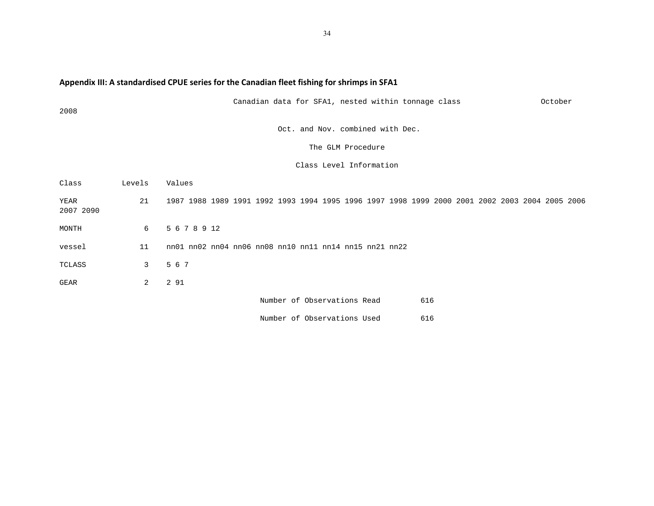# **Appendix III: A standardised CPUE series for the Canadian fleet fishing for shrimps in SFA1**

| 2008              |                | Canadian data for SFA1, nested within tonnage class                                            | October |
|-------------------|----------------|------------------------------------------------------------------------------------------------|---------|
|                   |                | Oct. and Nov. combined with Dec.                                                               |         |
|                   |                | The GLM Procedure                                                                              |         |
|                   |                | Class Level Information                                                                        |         |
| Class             | Levels         | Values                                                                                         |         |
| YEAR<br>2007 2090 | 21             | 1987 1988 1989 1991 1992 1993 1994 1995 1996 1997 1998 1999 2000 2001 2002 2003 2004 2005 2006 |         |
| MONTH             | 6              | 5 6 7 8 9 12                                                                                   |         |
| vessel            | 11             | $m01$ $m02$ $m04$ $m06$ $m08$ $m10$ $m11$ $m14$ $m15$ $m21$ $m22$                              |         |
| TCLASS            | $\mathbf{3}$   | 5 6 7                                                                                          |         |
| GEAR              | $\overline{2}$ | 2 91                                                                                           |         |
|                   |                | Number of Observations Read<br>616                                                             |         |
|                   |                | Number of Observations Used<br>616                                                             |         |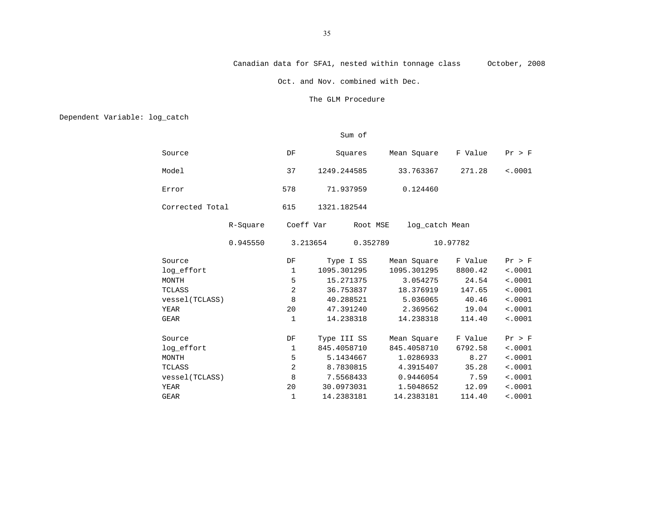## Canadian data for SFA1, nested within tonnage class October, 2008

Oct. and Nov. combined with Dec.

#### The GLM Procedure

Dependent Variable: log\_catch

## Sum of

| Source          |          | DF           | Squares     | Mean Square                | F Value  | Pr > F  |
|-----------------|----------|--------------|-------------|----------------------------|----------|---------|
| Model           |          | 37           | 1249.244585 | 33.763367                  | 271.28   | < .0001 |
| Error           |          | 578          | 71.937959   | 0.124460                   |          |         |
| Corrected Total |          | 615          | 1321.182544 |                            |          |         |
|                 | R-Square | Coeff Var    |             | Root MSE<br>log_catch Mean |          |         |
|                 | 0.945550 | 3.213654     |             | 0.352789                   | 10.97782 |         |
| Source          |          | DF           | Type I SS   | Mean Square                | F Value  | Pr > F  |
| log_effort      |          | 1            | 1095.301295 | 1095.301295                | 8800.42  | < .0001 |
| MONTH           |          | 5            | 15.271375   | 3.054275                   | 24.54    | < .0001 |
| TCLASS          |          | 2            | 36.753837   | 18.376919                  | 147.65   | < .0001 |
| vessel (TCLASS) |          | 8            | 40.288521   | 5.036065                   | 40.46    | < .0001 |
| YEAR            |          | 20           | 47.391240   | 2.369562                   | 19.04    | < .0001 |
| <b>GEAR</b>     |          | $\mathbf{1}$ | 14.238318   | 14.238318                  | 114.40   | < .0001 |
| Source          |          | DF           | Type III SS | Mean Square                | F Value  | Pr > F  |
| log_effort      |          | 1            | 845.4058710 | 845.4058710                | 6792.58  | < .0001 |
| MONTH           |          | 5            | 5.1434667   | 1.0286933                  | 8.27     | < .0001 |
| TCLASS          |          | 2            | 8.7830815   | 4.3915407                  | 35.28    | < .0001 |
| vessel (TCLASS) |          | 8            | 7.5568433   | 0.9446054                  | 7.59     | < .0001 |
| YEAR            |          | 20           | 30.0973031  | 1.5048652                  | 12.09    | < .0001 |
| <b>GEAR</b>     |          |              | 14.2383181  | 14.2383181                 | 114.40   | < .0001 |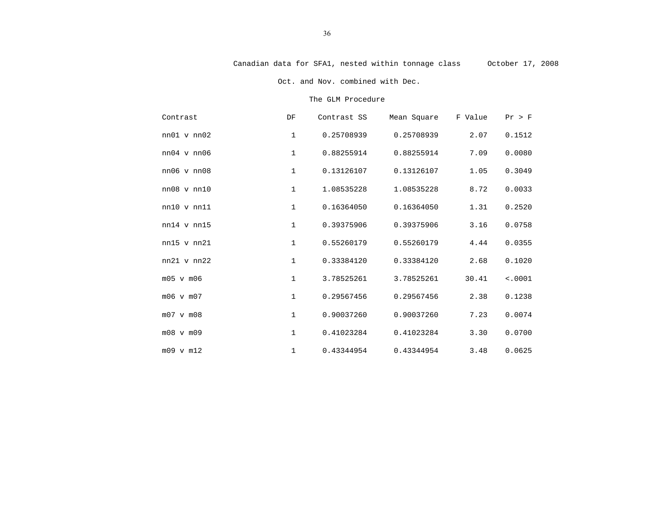Oct. and Nov. combined with Dec.

#### The GLM Procedure

| Contrast               | DF           | Contrast SS | Mean Square | F Value | Pr > F  |
|------------------------|--------------|-------------|-------------|---------|---------|
| $nn01$ v $nn02$        | $\mathbf{1}$ | 0.25708939  | 0.25708939  | 2.07    | 0.1512  |
| $nn04$ v $nn06$        | $\mathbf{1}$ | 0.88255914  | 0.88255914  | 7.09    | 0.0080  |
| $nn06 \text{ v } nn08$ | $\mathbf{1}$ | 0.13126107  | 0.13126107  | 1.05    | 0.3049  |
| $nn08$ v $nn10$        | $\mathbf{1}$ | 1.08535228  | 1.08535228  | 8.72    | 0.0033  |
| $nn10$ v $nn11$        | $\mathbf{1}$ | 0.16364050  | 0.16364050  | 1.31    | 0.2520  |
| $nn14$ v $nn15$        | $\mathbf{1}$ | 0.39375906  | 0.39375906  | 3.16    | 0.0758  |
| $nn15$ v $nn21$        | $\mathbf{1}$ | 0.55260179  | 0.55260179  | 4.44    | 0.0355  |
| $nn21$ v $nn22$        | $\mathbf{1}$ | 0.33384120  | 0.33384120  | 2.68    | 0.1020  |
| m05 v m06              | $\mathbf{1}$ | 3.78525261  | 3.78525261  | 30.41   | < .0001 |
| m06 v m07              | $\mathbf{1}$ | 0.29567456  | 0.29567456  | 2.38    | 0.1238  |
| m07 v m08              | $\mathbf{1}$ | 0.90037260  | 0.90037260  | 7.23    | 0.0074  |
| m08 v m09              | $\mathbf{1}$ | 0.41023284  | 0.41023284  | 3.30    | 0.0700  |
| m09 v m12              | $\mathbf{1}$ | 0.43344954  | 0.43344954  | 3.48    | 0.0625  |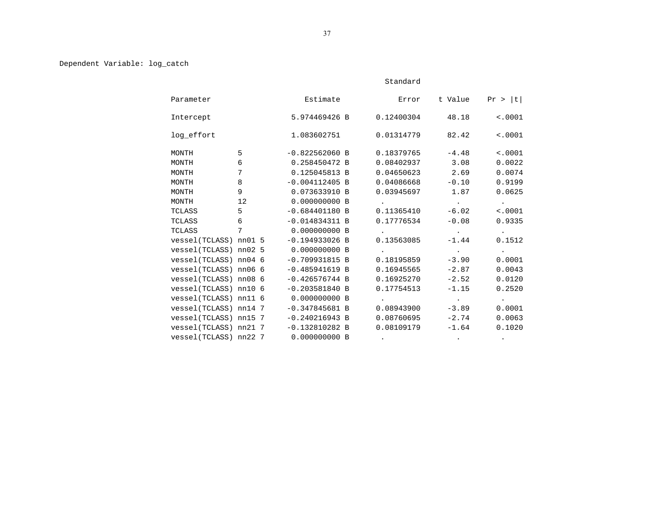## Dependent Variable: log\_catch

|            |                        |                  | Standard                     |                          |                          |
|------------|------------------------|------------------|------------------------------|--------------------------|--------------------------|
| Parameter  |                        | Estimate         | Error                        | t Value                  | Pr >  t                  |
| Intercept  |                        | 5.974469426 B    | 0.12400304                   | 48.18                    | < .0001                  |
| log_effort |                        | 1.083602751      | 0.01314779                   | 82.42                    | < .0001                  |
| MONTH      | 5                      | $-0.822562060 B$ | 0.18379765                   | $-4.48$                  | < .0001                  |
| MONTH      | 6                      | 0.258450472 B    | 0.08402937                   | 3.08                     | 0.0022                   |
| MONTH      | 7                      | 0.125045813 B    | 0.04650623                   | 2.69                     | 0.0074                   |
| MONTH      | 8                      | $-0.004112405 B$ | 0.04086668                   | $-0.10$                  | 0.9199                   |
| MONTH      | 9                      | 0.073633910 B    | 0.03945697                   | 1.87                     | 0.0625                   |
| MONTH      | 12                     | 0.000000000 B    | the company's company's com- | <b>Contract Contract</b> | <b>Contract Contract</b> |
| TCLASS     | 5 <sup>1</sup>         | $-0.684401180 B$ | 0.11365410                   | $-6.02$                  | < .0001                  |
| TCLASS     | 6                      | $-0.014834311 B$ | 0.17776534                   | $-0.08$                  | 0.9335                   |
| TCLASS     | $7^{\circ}$            | 0.000000000 B    |                              | <b>Contract Contract</b> | $\sim$ $\sim$            |
|            | vessel(TCLASS) nn01 5  | $-0.194933026$ B | 0.13563085                   | $-1.44$                  | 0.1512                   |
|            | vessel(TCLASS) nn02 5  | 0.000000000 B    | $\sim$                       | <b>Contract Contract</b> | <b>Contract Contract</b> |
|            | vessel(TCLASS) nn04 6  | $-0.709931815 B$ | 0.18195859                   | $-3.90$                  | 0.0001                   |
|            | vessel(TCLASS) nn06 6  | $-0.485941619 B$ | 0.16945565                   | $-2.87$                  | 0.0043                   |
|            | vessel(TCLASS) nn08 6  | $-0.426576744 B$ | 0.16925270                   | $-2.52$                  | 0.0120                   |
|            | vessel(TCLASS) nn10 6  | $-0.203581840 B$ | 0.17754513                   | $-1.15$                  | 0.2520                   |
|            | vessel(TCLASS) nn11 6  | 0.000000000 B    | $\sim$                       | <b>Contract Contract</b> | <b>Contract Contract</b> |
|            | vessel(TCLASS) nn14 7  | $-0.347845681 B$ | 0.08943900                   | $-3.89$                  | 0.0001                   |
|            | vessel(TCLASS) nn15 7  | $-0.240216943 B$ | 0.08760695                   | $-2.74$                  | 0.0063                   |
|            | vessel(TCLASS) nn21 7  | $-0.132810282 B$ | 0.08109179                   | $-1.64$                  | 0.1020                   |
|            | vessel (TCLASS) nn22 7 | 0.000000000 B    |                              |                          |                          |